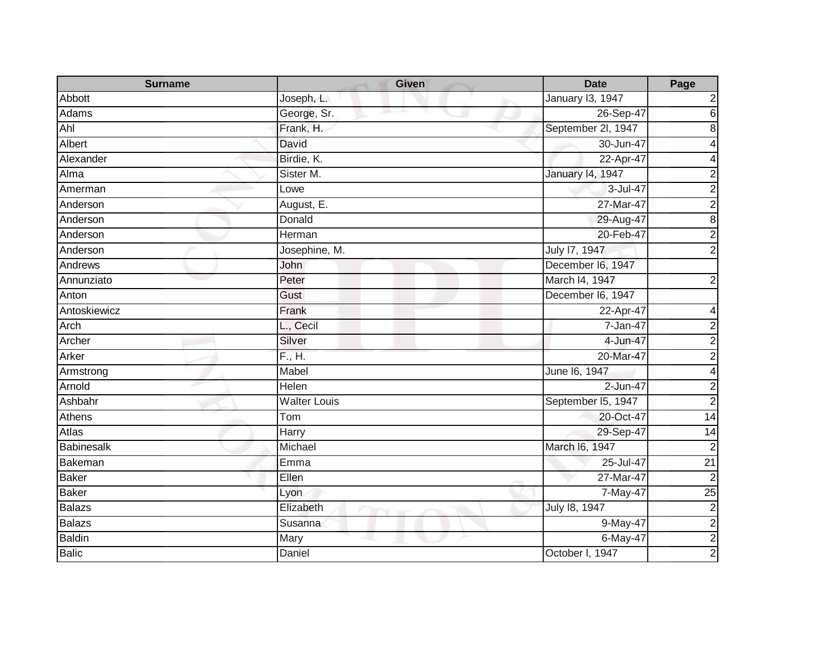| <b>Surname</b> | <b>Given</b>                          | <b>Date</b>        | Page                    |
|----------------|---------------------------------------|--------------------|-------------------------|
| Abbott         | Joseph, L.                            | January 13, 1947   | 2                       |
| Adams          | George, Sr.                           | 26-Sep-47          | $\overline{6}$          |
| Ahl            | Frank, H.                             | September 2l, 1947 | 8                       |
| Albert         | David                                 | 30-Jun-47          | 4                       |
| Alexander      | Birdie, K.                            | 22-Apr-47          | 4                       |
| Alma           | Sister M.                             | January 14, 1947   | $\boldsymbol{2}$        |
| Amerman        | Lowe                                  | 3-Jul-47           | $\overline{2}$          |
| Anderson       | August, E.                            | 27-Mar-47          | $\overline{2}$          |
| Anderson       | Donald                                | 29-Aug-47          | $\overline{8}$          |
| Anderson       | Herman                                | 20-Feb-47          | $\overline{2}$          |
| Anderson       | Josephine, M.                         | July 17, 1947      | $\overline{2}$          |
| Andrews        | John                                  | December I6, 1947  |                         |
| Annunziato     | Peter                                 | March I4, 1947     | $\overline{c}$          |
| Anton          | Gust                                  | December I6, 1947  |                         |
| Antoskiewicz   | Frank                                 | 22-Apr-47          | 4                       |
| Arch           | L., Cecil                             | 7-Jan-47           | $\overline{\mathbf{c}}$ |
| Archer         | Silver                                | 4-Jun-47           | $\overline{2}$          |
| Arker          | F., H.                                | 20-Mar-47          | $\overline{2}$          |
| Armstrong      | Mabel                                 | June 16, 1947      | $\overline{4}$          |
| Arnold         | Helen                                 | 2-Jun-47           | $\overline{2}$          |
| Ashbahr        | <b>Walter Louis</b>                   | September I5, 1947 | $\overline{2}$          |
| Athens         | Tom                                   | 20-Oct-47          | 14                      |
| <b>Atlas</b>   | Harry                                 | 29-Sep-47          | $\overline{14}$         |
| Babinesalk     | Michael                               | March I6, 1947     | $\overline{2}$          |
| Bakeman        | Emma                                  | 25-Jul-47          | $\overline{21}$         |
| <b>Baker</b>   | Ellen                                 | 27-Mar-47          | $\overline{2}$          |
| <b>Baker</b>   | Lyon                                  | 7-May-47           | $\overline{25}$         |
| <b>Balazs</b>  | Elizabeth<br><b>The Second Second</b> | July 18, 1947      | $\overline{\mathbf{c}}$ |
| <b>Balazs</b>  | Susanna                               | 9-May-47           |                         |
| <b>Baldin</b>  | Mary                                  | 6-May-47           | $\frac{2}{2}$           |
| <b>Balic</b>   | Daniel                                | October I, 1947    |                         |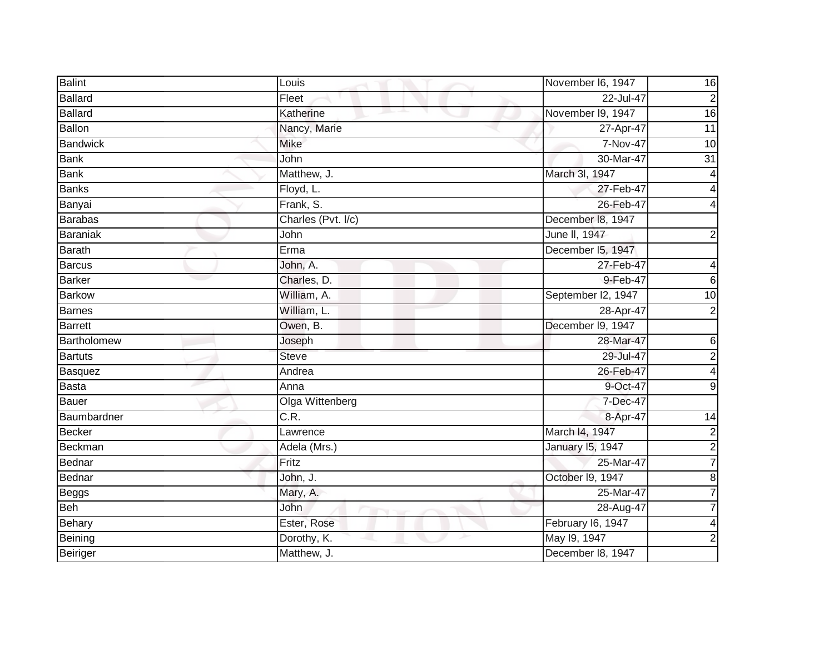| <b>Balint</b>   | Louis              | November I6, 1947  | 16                      |
|-----------------|--------------------|--------------------|-------------------------|
| Ballard         | Fleet              | 22-Jul-47          | $\overline{2}$          |
| <b>Ballard</b>  | Katherine          | November I9, 1947  | $\overline{6}$          |
| Ballon          | Nancy, Marie       | 27-Apr-47          | 11                      |
| <b>Bandwick</b> | <b>Mike</b>        | 7-Nov-47           | 10                      |
| <b>Bank</b>     | John               | 30-Mar-47          | $\overline{31}$         |
| <b>Bank</b>     | Matthew, J.        | March 3I, 1947     | 4                       |
| <b>Banks</b>    | Floyd, L.          | 27-Feb-47          | 4                       |
| Banyai          | Frank, S.          | 26-Feb-47          |                         |
| <b>Barabas</b>  | Charles (Pvt. I/c) | December 18, 1947  |                         |
| Baraniak        | John               | June II, 1947      | $\overline{2}$          |
| <b>Barath</b>   | Erma               | December 15, 1947  |                         |
| <b>Barcus</b>   | John, A.           | 27-Feb-47          | 4                       |
| <b>Barker</b>   | Charles, D.        | 9-Feb-47           | 6                       |
| <b>Barkow</b>   | William, A.        | September I2, 1947 | $\overline{10}$         |
| <b>Barnes</b>   | William, L.        | 28-Apr-47          | $\overline{2}$          |
| <b>Barrett</b>  | Owen, B.           | December I9, 1947  |                         |
| Bartholomew     | Joseph             | 28-Mar-47          | 6                       |
| <b>Bartuts</b>  | <b>Steve</b>       | 29-Jul-47          | $\overline{c}$          |
| Basquez         | Andrea             | 26-Feb-47          | 4                       |
| Basta           | Anna               | 9-Oct-47           | 9                       |
| Bauer           | Olga Wittenberg    | 7-Dec-47           |                         |
| Baumbardner     | C.R.               | 8-Apr-47           | 14                      |
| Becker          | Lawrence           | March I4, 1947     | $\overline{\mathbf{c}}$ |
| Beckman         | Adela (Mrs.)       | January 15, 1947   | $\overline{\mathbf{c}}$ |
| Bednar          | Fritz              | 25-Mar-47          | $\overline{7}$          |
| Bednar          | John, J.           | October I9, 1947   | 8                       |
| Beggs           | Mary, A.           | 25-Mar-47          | 7                       |
| Beh             | John               | 28-Aug-47          |                         |
| Behary          | Ester, Rose        | February I6, 1947  |                         |
| Beining         | Dorothy, K.        | May 19, 1947       | $\mathbf 2$             |
| Beiriger        | Matthew, J.        | December 18, 1947  |                         |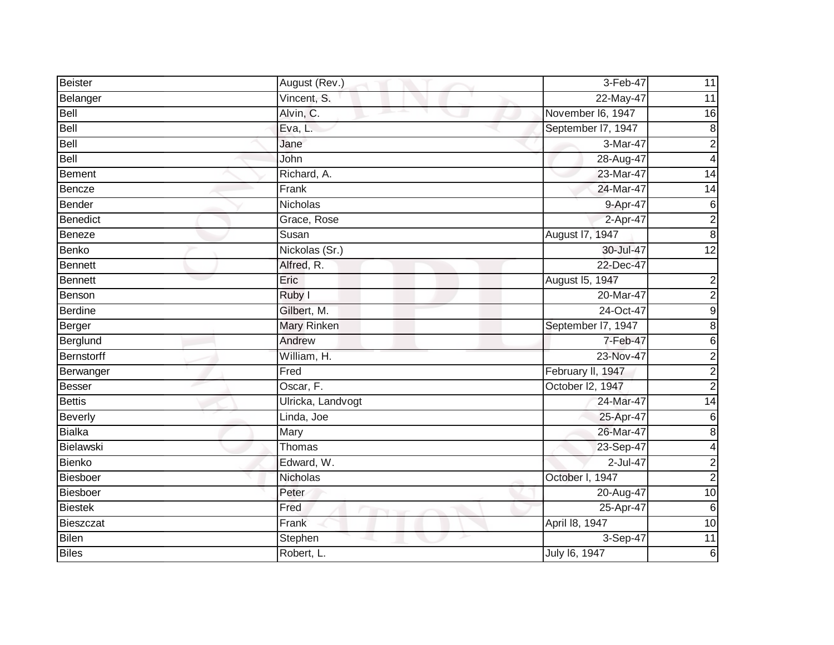| <b>Beister</b>    | August (Rev.)      | 3-Feb-47           | 11               |
|-------------------|--------------------|--------------------|------------------|
| Belanger          | Vincent, S.        | 22-May-47          | 11               |
| Bell              | Alvin, C.          | November I6, 1947  | 16               |
| Bell              | Eva, L.            | September I7, 1947 | $\boldsymbol{8}$ |
| <b>Bell</b>       | Jane               | 3-Mar-47           | $\overline{c}$   |
| Bell              | John               | 28-Aug-47          | $\overline{4}$   |
| <b>Bement</b>     | Richard, A.        | 23-Mar-47          | 14               |
| <b>Bencze</b>     | Frank              | 24-Mar-47          | 14               |
| Bender            | Nicholas           | 9-Apr-47           | 6                |
| <b>Benedict</b>   | Grace, Rose        | 2-Apr-47           | $\overline{2}$   |
| <b>Beneze</b>     | Susan              | August 17, 1947    | $\bf 8$          |
| Benko             | Nickolas (Sr.)     | 30-Jul-47          | $\overline{12}$  |
| <b>Bennett</b>    | Alfred, R.         | 22-Dec-47          |                  |
| <b>Bennett</b>    | Eric               | August 15, 1947    | $\overline{c}$   |
| Benson            | Ruby I             | 20-Mar-47          | $\overline{c}$   |
| <b>Berdine</b>    | Gilbert, M.        | 24-Oct-47          | $\boldsymbol{9}$ |
| Berger            | <b>Mary Rinken</b> | September I7, 1947 | $\bf 8$          |
| Berglund          | Andrew             | 7-Feb-47           | $6\phantom{1}$   |
| <b>Bernstorff</b> | William, H.        | 23-Nov-47          | $\overline{c}$   |
| Berwanger         | Fred               | February II, 1947  | $\overline{a}$   |
| Besser            | Oscar, F.          | October I2, 1947   | $\overline{2}$   |
| <b>Bettis</b>     | Ulricka, Landvogt  | 24-Mar-47          | $\overline{14}$  |
| <b>Beverly</b>    | Linda, Joe         | 25-Apr-47          | 6                |
| <b>Bialka</b>     | Mary               | 26-Mar-47          | $\, 8$           |
| Bielawski         | Thomas             | 23-Sep-47          | 4                |
| Bienko            | Edward, W.         | 2-Jul-47           | $\overline{c}$   |
| <b>Biesboer</b>   | Nicholas           | October I, 1947    | $\overline{2}$   |
| Biesboer          | Peter              | 20-Aug-47          | 10               |
| <b>Biestek</b>    | Fred               | 25-Apr-47          | 6                |
| Bieszczat         | Frank              | April 18, 1947     | 10               |
| Bilen             | Stephen            | 3-Sep-47           | 11               |
| <b>Biles</b>      | Robert, L.         | July 16, 1947      | 6                |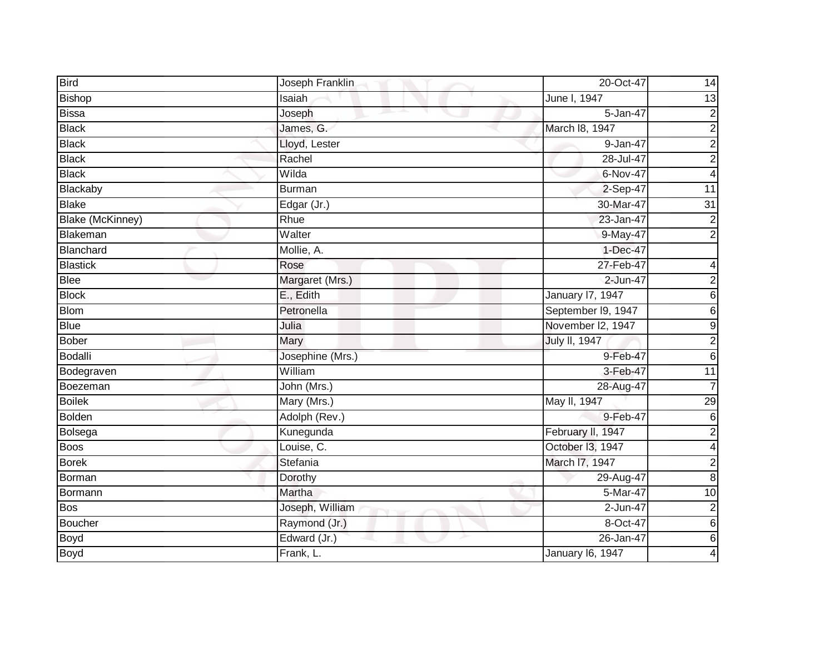| <b>Bird</b>      | Joseph Franklin  | 20-Oct-47               | 14                      |
|------------------|------------------|-------------------------|-------------------------|
| <b>Bishop</b>    | Isaiah           | June I, 1947            | 13                      |
| <b>Bissa</b>     | Joseph           | 5-Jan-47                | $\overline{\mathbf{c}}$ |
| <b>Black</b>     | James, G.        | March 18, 1947          | $\overline{c}$          |
| <b>Black</b>     | Lloyd, Lester    | 9-Jan-47                | $\overline{2}$          |
| <b>Black</b>     | Rachel           | 28-Jul-47               | $\overline{c}$          |
| <b>Black</b>     | Wilda            | 6-Nov-47                | $\overline{\mathbf{4}}$ |
| Blackaby         | <b>Burman</b>    | 2-Sep-47                | $\overline{11}$         |
| <b>Blake</b>     | Edgar (Jr.)      | 30-Mar-47               | 31                      |
| Blake (McKinney) | Rhue             | 23-Jan-47               | $\overline{2}$          |
| Blakeman         | Walter           | 9-May-47                | $\overline{2}$          |
| <b>Blanchard</b> | Mollie, A.       | 1-Dec-47                |                         |
| <b>Blastick</b>  | Rose             | 27-Feb-47               | 4                       |
| Blee             | Margaret (Mrs.)  | 2-Jun-47                | $\overline{\mathbf{c}}$ |
| <b>Block</b>     | E., Edith        | <b>January 17, 1947</b> | 6                       |
| <b>Blom</b>      | Petronella       | September I9, 1947      | $\overline{6}$          |
| <b>Blue</b>      | Julia            | November I2, 1947       | $\overline{9}$          |
| <b>Bober</b>     | Mary             | <b>July II, 1947</b>    | $\overline{c}$          |
| <b>Bodalli</b>   | Josephine (Mrs.) | 9-Feb-47                | $\overline{6}$          |
| Bodegraven       | William          | 3-Feb-47                | 11                      |
| Boezeman         | John (Mrs.)      | 28-Aug-47               | 7                       |
| <b>Boilek</b>    | Mary (Mrs.)      | May II, 1947            | 29                      |
| <b>Bolden</b>    | Adolph (Rev.)    | 9-Feb-47                | $\,6$                   |
| Bolsega          | Kunegunda        | February II, 1947       | $\overline{2}$          |
| <b>Boos</b>      | Louise, C.       | October I3, 1947        | $\overline{\mathbf{4}}$ |
| <b>Borek</b>     | Stefania         | March I7, 1947          | $\overline{\mathbf{c}}$ |
| Borman           | Dorothy          | 29-Aug-47               | $\overline{8}$          |
| Bormann          | Martha           | 5-Mar-47                | 10                      |
| <b>Bos</b>       | Joseph, William  | 2-Jun-47                | $\boldsymbol{2}$        |
| <b>Boucher</b>   | Raymond (Jr.)    | 8-Oct-47                | $6\phantom{1}$          |
| Boyd             | Edward (Jr.)     | 26-Jan-47               | $\overline{6}$          |
| <b>Boyd</b>      | Frank, L.        | January 16, 1947        | 4                       |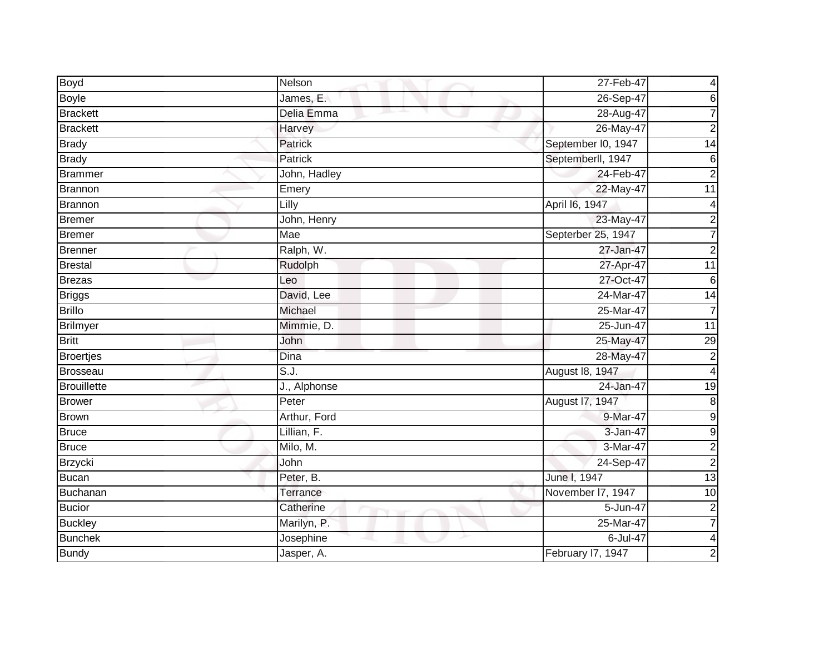| Boyd               | Nelson       | 27-Feb-47          | 4                       |
|--------------------|--------------|--------------------|-------------------------|
| <b>Boyle</b>       | James, E.    | 26-Sep-47          | 6                       |
| <b>Brackett</b>    | Delia Emma   | 28-Aug-47          |                         |
| <b>Brackett</b>    | Harvey       | 26-May-47          | $\mathbf 2$             |
| <b>Brady</b>       | Patrick      | September I0, 1947 | $\overline{14}$         |
| <b>Brady</b>       | Patrick      | Septemberll, 1947  | 6                       |
| <b>Brammer</b>     | John, Hadley | 24-Feb-47          | $\overline{2}$          |
| <b>Brannon</b>     | Emery        | 22-May-47          | $\overline{11}$         |
| <b>Brannon</b>     | Lilly        | April 16, 1947     | 4                       |
| <b>Bremer</b>      | John, Henry  | 23-May-47          | $\overline{c}$          |
| <b>Bremer</b>      | Mae          | Septerber 25, 1947 | $\overline{7}$          |
| <b>Brenner</b>     | Ralph, W.    | 27-Jan-47          | $\overline{2}$          |
| <b>Brestal</b>     | Rudolph      | 27-Apr-47          | 11                      |
| <b>Brezas</b>      | Leo          | 27-Oct-47          | $\,6$                   |
| <b>Briggs</b>      | David, Lee   | 24-Mar-47          | $\overline{14}$         |
| <b>Brillo</b>      | Michael      | 25-Mar-47          | $\overline{7}$          |
| <b>Brilmyer</b>    | Mimmie, D.   | 25-Jun-47          | $\overline{11}$         |
| <b>Britt</b>       | John         | 25-May-47          | 29                      |
| <b>Broertjes</b>   | Dina         | 28-May-47          | $\overline{c}$          |
| <b>Brosseau</b>    | S.J.         | August 18, 1947    | 4                       |
| <b>Brouillette</b> | J., Alphonse | 24-Jan-47          | $\overline{19}$         |
| <b>Brower</b>      | Peter        | August 17, 1947    | $\bf 8$                 |
| <b>Brown</b>       | Arthur, Ford | 9-Mar-47           | $\mathsf 9$             |
| <b>Bruce</b>       | Lillian, F.  | 3-Jan-47           | 9                       |
| <b>Bruce</b>       | Milo, M.     | 3-Mar-47           | $\overline{\mathbf{c}}$ |
| <b>Brzycki</b>     | John         | $24-Sep-47$        | $\overline{2}$          |
| <b>Bucan</b>       | Peter, B.    | June I, 1947       | 13                      |
| <b>Buchanan</b>    | Terrance     | November I7, 1947  | 10                      |
| <b>Bucior</b>      | Catherine    | 5-Jun-47           | $\overline{c}$          |
| <b>Buckley</b>     | Marilyn, P.  | 25-Mar-47          | $\overline{7}$          |
| <b>Bunchek</b>     | Josephine    | 6-Jul-47           | 4                       |
| <b>Bundy</b>       | Jasper, A.   | February I7, 1947  | 2                       |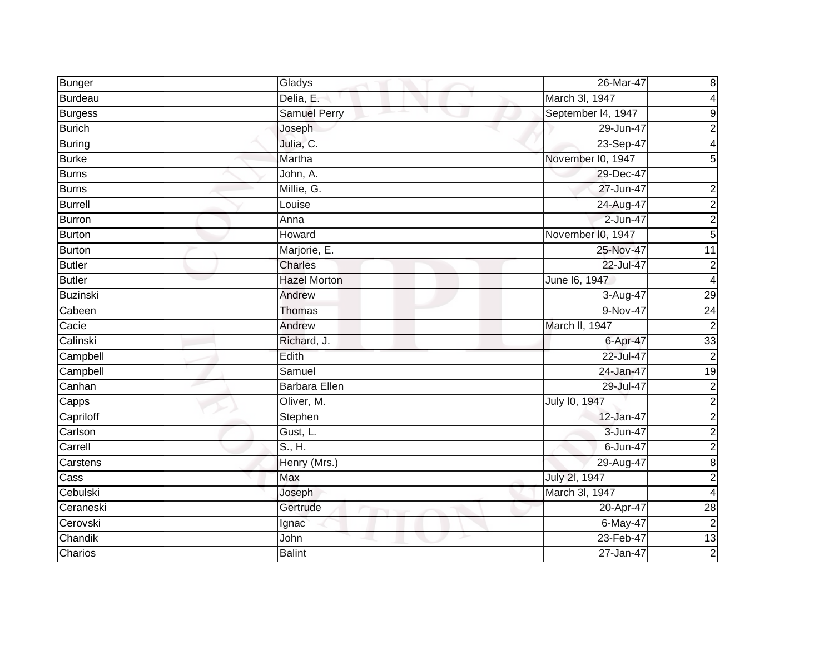| Bunger         | Gladys               | 26-Mar-47          | 8                       |
|----------------|----------------------|--------------------|-------------------------|
| <b>Burdeau</b> | Delia, E.            | March 3I, 1947     | 4                       |
| <b>Burgess</b> | <b>Samuel Perry</b>  | September I4, 1947 | 9                       |
| <b>Burich</b>  | Joseph               | 29-Jun-47          | $\overline{2}$          |
| Buring         | Julia, C.            | 23-Sep-47          | 4                       |
| <b>Burke</b>   | Martha               | November I0, 1947  | 5                       |
| <b>Burns</b>   | John, A.             | 29-Dec-47          |                         |
| <b>Burns</b>   | Millie, G.           | 27-Jun-47          | 2                       |
| <b>Burrell</b> | Louise               | 24-Aug-47          | $\overline{2}$          |
| <b>Burron</b>  | Anna                 | $2 - Jun-47$       | $\overline{2}$          |
| <b>Burton</b>  | Howard               | November I0, 1947  | $\overline{5}$          |
| <b>Burton</b>  | Marjorie, E.         | 25-Nov-47          | $\overline{11}$         |
| <b>Butler</b>  | <b>Charles</b>       | 22-Jul-47          | $\overline{2}$          |
| <b>Butler</b>  | <b>Hazel Morton</b>  | June 16, 1947      | 4                       |
| Buzinski       | Andrew               | 3-Aug-47           | 29                      |
| Cabeen         | Thomas               | 9-Nov-47           | 24                      |
| Cacie          | Andrew               | March II, 1947     | $\overline{2}$          |
| Calinski       | Richard, J.          | 6-Apr-47           | 33                      |
| Campbell       | Edith                | 22-Jul-47          | $\overline{2}$          |
| Campbell       | Samuel               | 24-Jan-47          | 19                      |
| Canhan         | <b>Barbara Ellen</b> | 29-Jul-47          | $\mathbf 2$             |
| Capps          | Oliver, M.           | July 10, 1947      | $\overline{2}$          |
| Capriloff      | Stephen              | 12-Jan-47          | $\overline{\mathbf{c}}$ |
| Carlson        | Gust, L.             | 3-Jun-47           | $\overline{\mathbf{c}}$ |
| Carrell        | S., H.               | 6-Jun-47           | $\overline{2}$          |
| Carstens       | Henry (Mrs.)         | 29-Aug-47          | 8                       |
| Cass           | Max                  | July 2l, 1947      | $\overline{2}$          |
| Cebulski       | Joseph               | March 3l, 1947     | 4                       |
| Ceraneski      | Gertrude             | 20-Apr-47          | $\overline{28}$         |
| Cerovski       | Ignac                | 6-May-47           | $\mathbf 2$             |
| Chandik        | John                 | 23-Feb-47          | 13                      |
| Charios        | <b>Balint</b>        | 27-Jan-47          | $\overline{2}$          |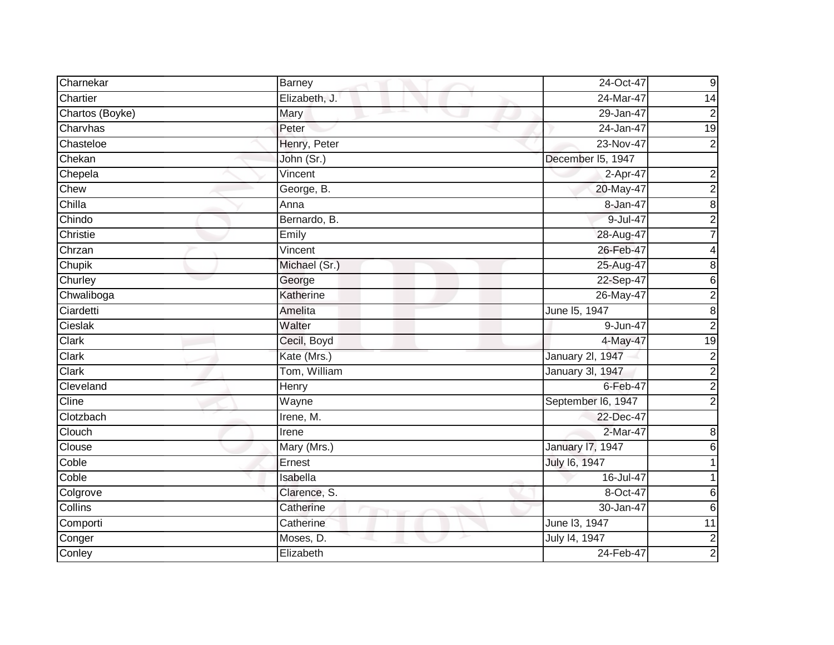| Charnekar       | Barney                | 24-Oct-47               | 9                       |
|-----------------|-----------------------|-------------------------|-------------------------|
| Chartier        | Elizabeth, J.         | 24-Mar-47               | 14                      |
| Chartos (Boyke) | Mary                  | 29-Jan-47               | $\overline{\mathbf{c}}$ |
| Charvhas        | Peter                 | 24-Jan-47               | 19                      |
| Chasteloe       | Henry, Peter          | 23-Nov-47               | $\overline{2}$          |
| Chekan          | John (Sr.)            | December I5, 1947       |                         |
| Chepela         | Vincent               | 2-Apr-47                | $\overline{\mathbf{c}}$ |
| Chew            | George, B.            | 20-May-47               | $\overline{\mathbf{c}}$ |
| Chilla          | Anna                  | 8-Jan-47                | 8                       |
| Chindo          | Bernardo, B.          | 9-Jul-47                | $\overline{2}$          |
| Christie        | Emily                 | 28-Aug-47               |                         |
| Chrzan          | $\overline{V}$ incent | 26-Feb-47               |                         |
| Chupik          | Michael (Sr.)         | 25-Aug-47               | 8                       |
| Churley         | George                | 22-Sep-47               | 6                       |
| Chwaliboga      | Katherine             | 26-May-47               | 2                       |
| Ciardetti       | Amelita               | June 15, 1947           | 8                       |
| Cieslak         | Walter                | 9-Jun-47                | $\overline{c}$          |
| Clark           | Cecil, Boyd           | 4-May-47                | 19                      |
| Clark           | Kate (Mrs.)           | January 2l, 1947        | $\overline{c}$          |
| Clark           | Tom, William          | <b>January 3l, 1947</b> | $\overline{\mathbf{c}}$ |
| Cleveland       | Henry                 | 6-Feb-47                | 2                       |
| Cline           | Wayne                 | September I6, 1947      | $\overline{2}$          |
| Clotzbach       | Irene, M.             | 22-Dec-47               |                         |
| Clouch          | Irene                 | 2-Mar-47                | 8                       |
| Clouse          | Mary (Mrs.)           | <b>January 17, 1947</b> | 6                       |
| Coble           | Ernest                | July 16, 1947           |                         |
| Coble           | Isabella              | 16-Jul-47               |                         |
| Colgrove        | Clarence, S.          | 8-Oct-47                | 6                       |
| Collins         | Catherine             | 30-Jan-47               | 6                       |
| Comporti        | Catherine             | June 13, 1947           | 11                      |
| Conger          | Moses, D.             | July 14, 1947           | $\overline{c}$          |
| Conley          | Elizabeth             | 24-Feb-47               | $\overline{c}$          |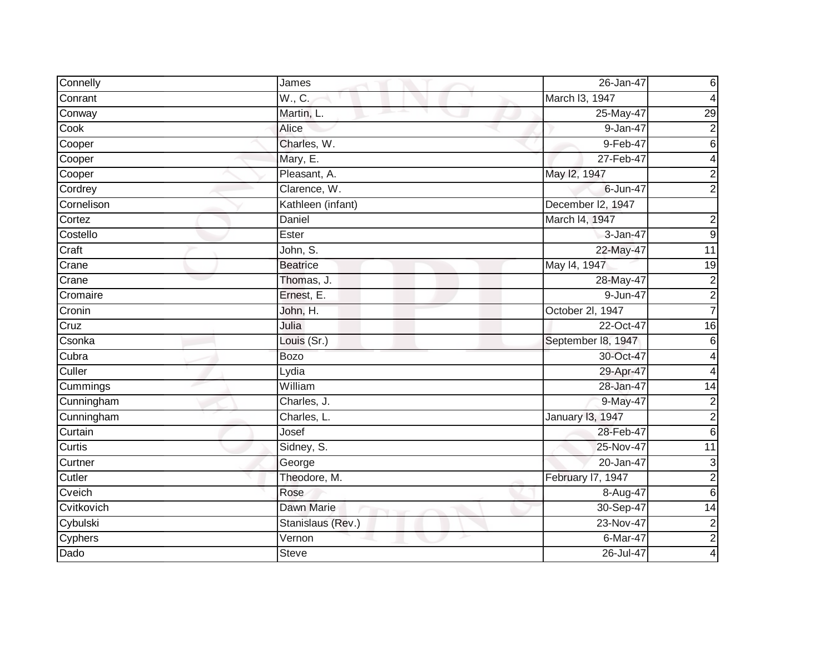| Connelly   | James             | 26-Jan-47               | 6                |
|------------|-------------------|-------------------------|------------------|
| Conrant    | W., C.            | March I3, 1947          | 4                |
| Conway     | Martin, L.        | 25-May-47               | $\overline{29}$  |
| Cook       | Alice             | 9-Jan-47                | $\overline{2}$   |
| Cooper     | Charles, W.       | 9-Feb-47                | $\overline{6}$   |
| Cooper     | Mary, E.          | 27-Feb-47               | 4                |
| Cooper     | Pleasant, A.      | May 12, 1947            | $\overline{2}$   |
| Cordrey    | Clarence, W.      | 6-Jun-47                | $\overline{2}$   |
| Cornelison | Kathleen (infant) | December I2, 1947       |                  |
| Cortez     | Daniel            | March I4, 1947          | $\overline{c}$   |
| Costello   | Ester             | 3-Jan-47                | $\overline{9}$   |
| Craft      | John, S.          | 22-May-47               | 11               |
| Crane      | <b>Beatrice</b>   | May 14, 1947            | 19               |
| Crane      | Thomas, J.        | 28-May-47               | $\boldsymbol{2}$ |
| Cromaire   | Ernest, E.        | 9-Jun-47                | $\overline{2}$   |
| Cronin     | John, H.          | October 2l, 1947        | $\overline{7}$   |
| Cruz       | Julia             | 22-Oct-47               | 16               |
| Csonka     | Louis (Sr.)       | September 18, 1947      | 6                |
| Cubra      | <b>Bozo</b>       | 30-Oct-47               | 4                |
| Culler     | Lydia             | 29-Apr-47               | 4                |
| Cummings   | William           | 28-Jan-47               | 14               |
| Cunningham | Charles, J.       | 9-May-47                | $\overline{2}$   |
| Cunningham | Charles, L.       | <b>January 13, 1947</b> | $\overline{2}$   |
| Curtain    | Josef             | 28-Feb-47               | $\,6$            |
| Curtis     | Sidney, S.        | 25-Nov-47               | 11               |
| Curtner    | George            | 20-Jan-47               | 3                |
| Cutler     | Theodore, M.      | February I7, 1947       | $\overline{2}$   |
| Cveich     | Rose              | 8-Aug-47                | $\overline{6}$   |
| Cvitkovich | Dawn Marie        | 30-Sep-47               | $\overline{14}$  |
| Cybulski   | Stanislaus (Rev.) | 23-Nov-47               | $\boldsymbol{2}$ |
| Cyphers    | Vernon            | 6-Mar-47                | $\overline{2}$   |
| Dado       | <b>Steve</b>      | 26-Jul-47               | 4                |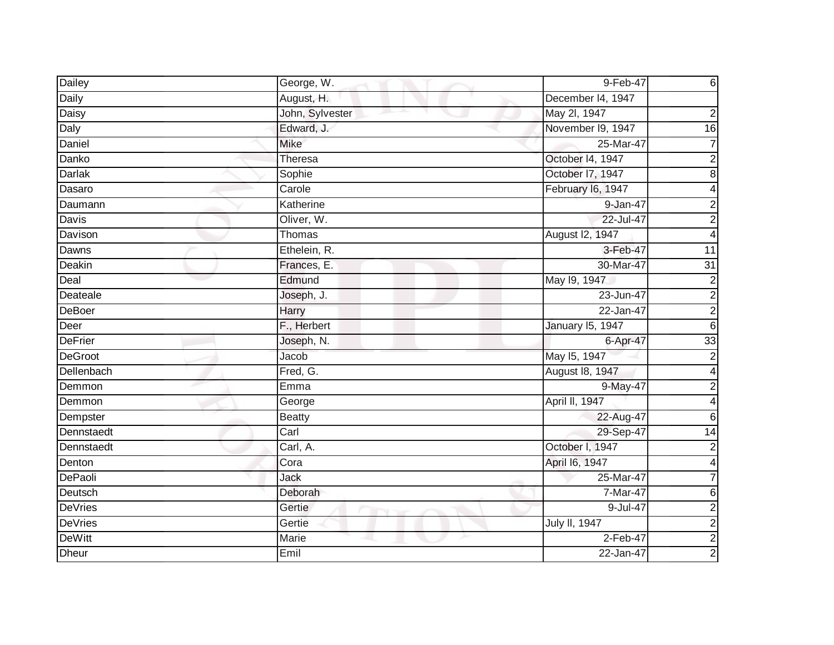| Dailey         | George, W.                            | 9-Feb-47                | 6                       |
|----------------|---------------------------------------|-------------------------|-------------------------|
| Daily          | August, H.                            | December I4, 1947       |                         |
| <b>Daisy</b>   | John, Sylvester<br>and the projection | May 2l, 1947            | 2                       |
| Daly           | Edward, J.                            | November I9, 1947       | 16                      |
| Daniel         | <b>Mike</b>                           | 25-Mar-47               | 7                       |
| Danko          | Theresa                               | October 14, 1947        | $\overline{c}$          |
| Darlak         | Sophie                                | October I7, 1947        | $\overline{8}$          |
| Dasaro         | Carole                                | February I6, 1947       | 4                       |
| Daumann        | Katherine                             | 9-Jan-47                | $\overline{2}$          |
| Davis          | Oliver, W.                            | 22-Jul-47               | $\overline{2}$          |
| Davison        | Thomas                                | August I2, 1947         | 4                       |
| Dawns          | Ethelein, R.                          | 3-Feb-47                | $\overline{11}$         |
| Deakin         | Frances, E.                           | 30-Mar-47               | 31                      |
| Deal           | Edmund                                | May 19, 1947            | $\overline{c}$          |
| Deateale       | Joseph, J.                            | 23-Jun-47               | $\overline{\mathbf{c}}$ |
| <b>DeBoer</b>  | Harry                                 | 22-Jan-47               | $\overline{2}$          |
| Deer           | F., Herbert                           | <b>January 15, 1947</b> | 6                       |
| <b>DeFrier</b> | Joseph, N.                            | 6-Apr-47                | 33                      |
| <b>DeGroot</b> | Jacob                                 | May 15, 1947            | $\overline{c}$          |
| Dellenbach     | Fred, G.                              | August 18, 1947         | 4                       |
| Demmon         | Emma                                  | 9-May-47                | 2                       |
| Demmon         | George                                | April II, 1947          | 4                       |
| Dempster       | <b>Beatty</b>                         | 22-Aug-47               | 6                       |
| Dennstaedt     | Carl                                  | 29-Sep-47               | 14                      |
| Dennstaedt     | Carl, A.                              | October I, 1947         | $\overline{2}$          |
| Denton         | Cora                                  | April 16, 1947          | 4                       |
| <b>DePaoli</b> | Jack                                  | 25-Mar-47               |                         |
| Deutsch        | Deborah                               | 7-Mar-47                | 6                       |
| <b>DeVries</b> | Gertie                                | 9-Jul-47                | $\overline{2}$          |
| <b>DeVries</b> | Gertie                                | July II, 1947           | $\overline{\mathbf{c}}$ |
| <b>DeWitt</b>  | Marie                                 | 2-Feb-47                | $\overline{2}$          |
| <b>Dheur</b>   | Emil                                  | 22-Jan-47               | $\overline{c}$          |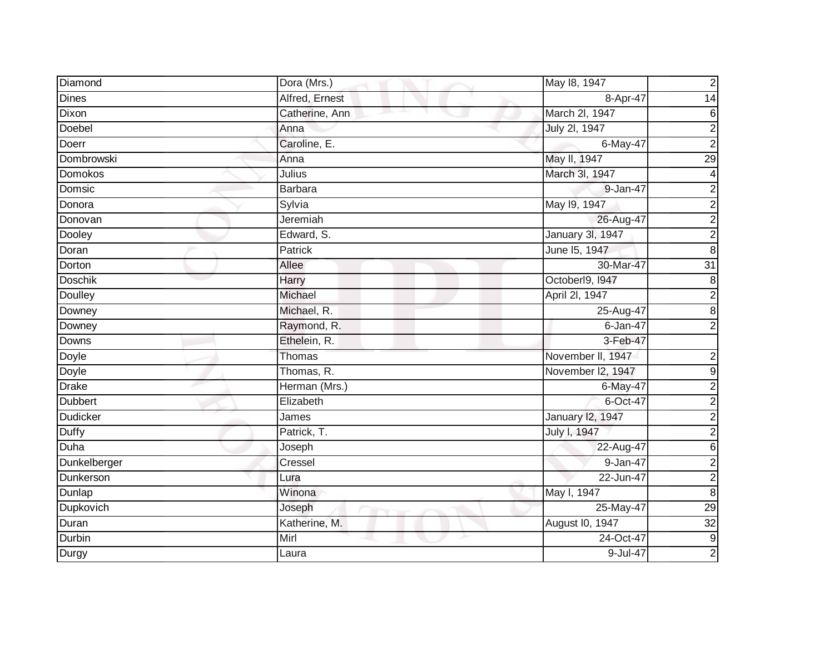| Diamond         | Dora (Mrs.)    | May 18, 1947      | $\overline{c}$          |
|-----------------|----------------|-------------------|-------------------------|
| <b>Dines</b>    | Alfred, Ernest | 8-Apr-47          | 14                      |
| Dixon           | Catherine, Ann | March 2I, 1947    | 6                       |
| Doebel          | Anna           | July 2I, 1947     | $\overline{2}$          |
| Doerr           | Caroline, E.   | 6-May-47          | $\overline{2}$          |
| Dombrowski      | Anna           | May II, 1947      | 29                      |
| Domokos         | Julius         | March 3I, 1947    | $\overline{\mathbf{4}}$ |
| Domsic          | <b>Barbara</b> | 9-Jan-47          | $\overline{\mathbf{c}}$ |
| Donora          | Sylvia         | May 19, 1947      | $\overline{2}$          |
| Donovan         | Jeremiah       | 26-Aug-47         | $\overline{2}$          |
| Dooley          | Edward, S.     | January 3l, 1947  | $\overline{2}$          |
| Doran           | <b>Patrick</b> | June 15, 1947     | $\overline{8}$          |
| Dorton          | Allee          | 30-Mar-47         | 31                      |
| <b>Doschik</b>  | Harry          | Octoberl9, I947   | $\overline{8}$          |
| Doulley         | Michael        | April 2I, 1947    | $\overline{2}$          |
| Downey          | Michael, R.    | 25-Aug-47         | $\overline{8}$          |
| Downey          | Raymond, R.    | $6 - Jan-47$      | $\overline{2}$          |
| Downs           | Ethelein, R.   | 3-Feb-47          |                         |
| Doyle           | Thomas         | November II, 1947 | $\boldsymbol{2}$        |
| <b>Doyle</b>    | Thomas, R.     | November I2, 1947 | $\overline{9}$          |
| <b>Drake</b>    | Herman (Mrs.)  | 6-May-47          | $\overline{2}$          |
| <b>Dubbert</b>  | Elizabeth      | 6-Oct-47          | $\overline{2}$          |
| <b>Dudicker</b> | James          | January 12, 1947  | $\overline{2}$          |
| Duffy           | Patrick, T.    | July I, 1947      | $\overline{2}$          |
| Duha            | Joseph         | 22-Aug-47         | $\overline{6}$          |
| Dunkelberger    | Cressel        | 9-Jan-47          | $\overline{2}$          |
| Dunkerson       | Lura           | 22-Jun-47         | $\overline{2}$          |
| Dunlap          | Winona         | May I, 1947       | $\overline{8}$          |
| Dupkovich       | Joseph         | 25-May-47         | 29                      |
| Duran           | Katherine, M.  | August I0, 1947   | 32                      |
| Durbin          | Mirl           | 24-Oct-47         | $\overline{9}$          |
| <b>Durgy</b>    | Laura          | 9-Jul-47          | $\overline{2}$          |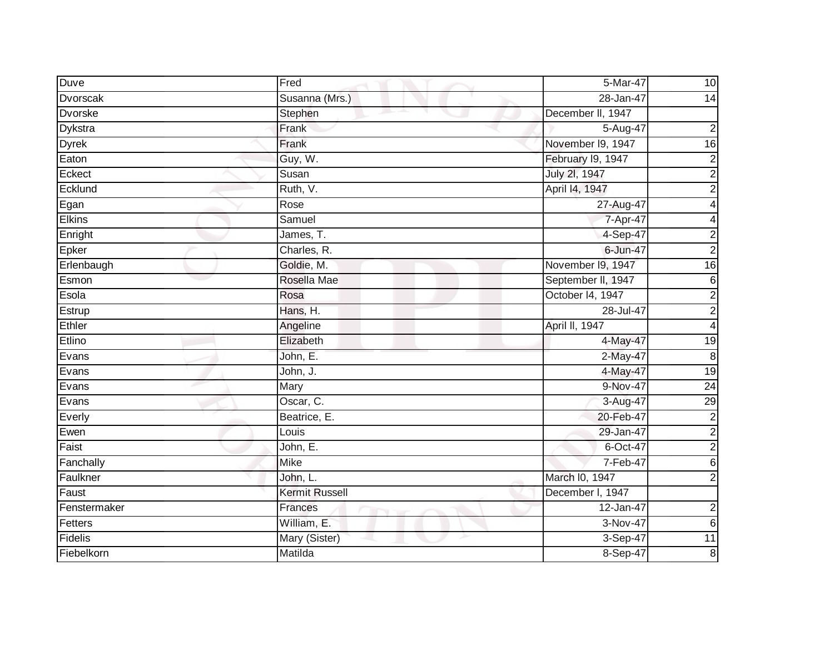| Duve           | Fred           | 5-Mar-47           | 10                      |
|----------------|----------------|--------------------|-------------------------|
| Dvorscak       | Susanna (Mrs.) | 28-Jan-47          | 14                      |
| <b>Dvorske</b> | Stephen        | December II, 1947  |                         |
| Dykstra        | Frank          | 5-Aug-47           | $\overline{c}$          |
| <b>Dyrek</b>   | Frank          | November I9, 1947  | $\overline{6}$          |
| Eaton          | Guy, W.        | February 19, 1947  | $\overline{c}$          |
| Eckect         | Susan          | July 2I, 1947      | $\overline{2}$          |
| Ecklund        | Ruth, V.       | April 14, 1947     | $\overline{c}$          |
| Egan           | Rose           | 27-Aug-47          | 4                       |
| <b>Elkins</b>  | Samuel         | 7-Apr-47           | 4                       |
| Enright        | James, T.      | 4-Sep-47           | $\overline{c}$          |
| Epker          | Charles, R.    | 6-Jun-47           | $\overline{a}$          |
| Erlenbaugh     | Goldie, M.     | November 19, 1947  | $\overline{16}$         |
| Esmon          | Rosella Mae    | September II, 1947 | 6                       |
| Esola          | Rosa           | October 14, 1947   | $\overline{c}$          |
| Estrup         | Hans, H.       | 28-Jul-47          | $\overline{c}$          |
| Ethler         | Angeline       | April II, 1947     | $\overline{\mathbf{4}}$ |
| Etlino         | Elizabeth      | 4-May-47           | 19                      |
| Evans          | John, E.       | 2-May-47           | $\infty$                |
| Evans          | John, J.       | 4-May-47           | 19                      |
| Evans          | Mary           | 9-Nov-47           | $\overline{24}$         |
| Evans          | Oscar, C.      | 3-Aug-47           | 29                      |
| Everly         | Beatrice, E.   | 20-Feb-47          | $\overline{c}$          |
| Ewen           | Louis          | 29-Jan-47          | $\overline{c}$          |
| Faist          | John, E.       | 6-Oct-47           | $\overline{2}$          |
| Fanchally      | <b>Mike</b>    | 7-Feb-47           | 6                       |
| Faulkner       | John, L.       | March I0, 1947     | $\overline{a}$          |
| Faust          | Kermit Russell | December I, 1947   |                         |
| Fenstermaker   | Frances        | 12-Jan-47          | $\overline{c}$          |
| Fetters        | William, E.    | 3-Nov-47           | 6                       |
| Fidelis        | Mary (Sister)  | 3-Sep-47           | $\overline{11}$         |
| Fiebelkorn     | Matilda        | 8-Sep-47           | $\, 8$                  |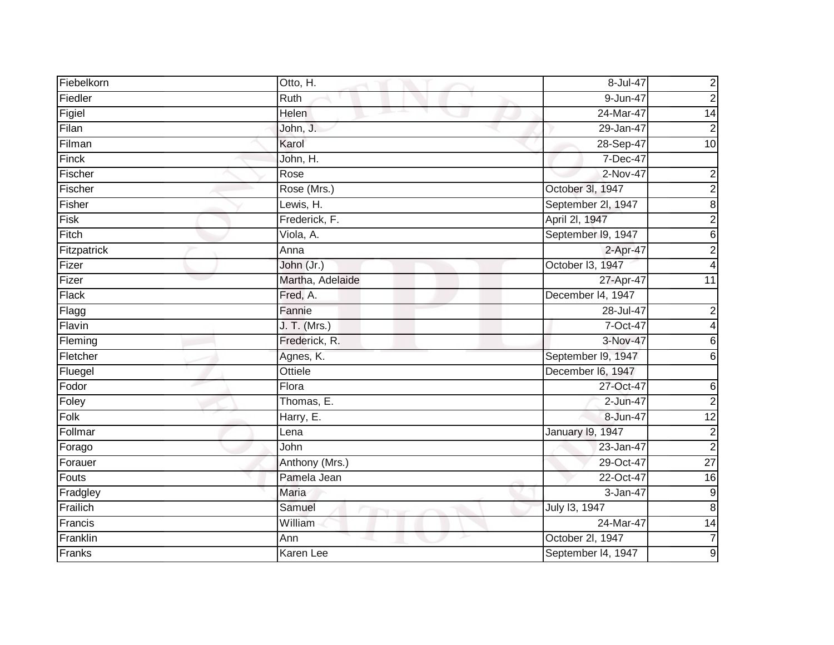| Fiebelkorn   | Otto, H.            | 8-Jul-47           | $\overline{c}$          |
|--------------|---------------------|--------------------|-------------------------|
| Fiedler      | Ruth                | 9-Jun-47           | $\overline{2}$          |
| Figiel       | Helen               | 24-Mar-47          | $\overline{14}$         |
| Filan        | John, J.            | 29-Jan-47          | $\overline{2}$          |
| Filman       | Karol               | 28-Sep-47          | $\overline{10}$         |
| Finck        | John, H.            | 7-Dec-47           |                         |
| Fischer      | Rose                | 2-Nov-47           | $\mathbf 2$             |
| Fischer      | Rose (Mrs.)         | October 3l, 1947   | $\overline{\mathbf{c}}$ |
| Fisher       | Lewis, H.           | September 2I, 1947 | 8                       |
| Fisk         | Frederick, F.       | April 2l, 1947     | $\overline{2}$          |
| Fitch        | Viola, A.           | September I9, 1947 | 6                       |
| Fitzpatrick  | Anna                | 2-Apr-47           | $\overline{c}$          |
| Fizer        | John (Jr.)          | October I3, 1947   | 4                       |
| Fizer        | Martha, Adelaide    | 27-Apr-47          | $\overline{11}$         |
| <b>Flack</b> | Fred, A.            | December 14, 1947  |                         |
| Flagg        | Fannie              | 28-Jul-47          | $\overline{\mathbf{c}}$ |
| Flavin       | <b>J. T. (Mrs.)</b> | 7-Oct-47           | 4                       |
| Fleming      | Frederick, R.       | 3-Nov-47           | $\,6$                   |
| Fletcher     | Agnes, K.           | September I9, 1947 | $\sigma$                |
| Fluegel      | Ottiele             | December I6, 1947  |                         |
| Fodor        | Flora               | 27-Oct-47          | $\,6$                   |
| Foley        | Thomas, E.          | $2 - Jun-47$       | $\overline{2}$          |
| Folk         | Harry, E.           | 8-Jun-47           | $\overline{12}$         |
| Follmar      | Lena                | January 19, 1947   | $\overline{c}$          |
| Forago       | John                | 23-Jan-47          | $\overline{2}$          |
| Forauer      | Anthony (Mrs.)      | 29-Oct-47          | $\overline{27}$         |
| Fouts        | Pamela Jean         | 22-Oct-47          | 16                      |
| Fradgley     | Maria               | 3-Jan-47           | $\boldsymbol{9}$        |
| Frailich     | Samuel              | July 13, 1947      | $\bf 8$                 |
| Francis      | William             | 24-Mar-47          | $\overline{14}$         |
| Franklin     | Ann                 | October 2I, 1947   | $\overline{7}$          |
| Franks       | Karen Lee           | September 14, 1947 | 9                       |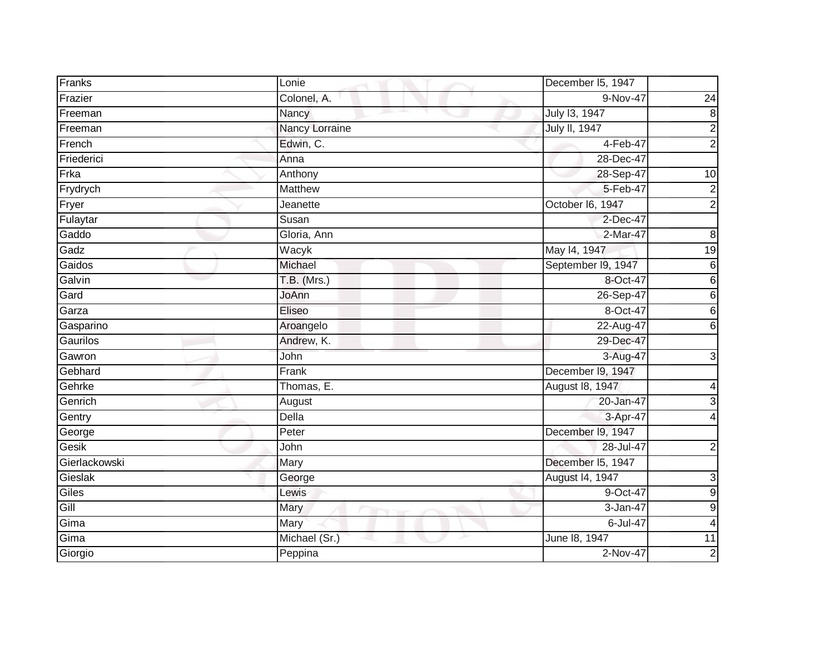| Franks        | Lonie          | December I5, 1947  |                  |
|---------------|----------------|--------------------|------------------|
| Frazier       | Colonel, A.    | 9-Nov-47           | 24               |
| Freeman       | Nancy          | July 13, 1947      | $\infty$         |
| Freeman       | Nancy Lorraine | July II, 1947      | $\frac{2}{2}$    |
| French        | Edwin, C.      | $4-Feb-47$         |                  |
| Friederici    | Anna           | 28-Dec-47          |                  |
| Frka          | Anthony        | 28-Sep-47          | 10               |
| Frydrych      | <b>Matthew</b> | 5-Feb-47           | $\boldsymbol{2}$ |
| Fryer         | Jeanette       | October I6, 1947   | $\overline{2}$   |
| Fulaytar      | Susan          | 2-Dec-47           |                  |
| Gaddo         | Gloria, Ann    | 2-Mar-47           | 8                |
| Gadz          | Wacyk          | May 14, 1947       | 19               |
| Gaidos        | Michael        | September I9, 1947 | $\overline{6}$   |
| Galvin        | $T.B.$ (Mrs.)  | 8-Oct-47           | 6                |
| Gard          | JoAnn          | 26-Sep-47          | $\overline{6}$   |
| Garza         | Eliseo         | 8-Oct-47           | $\overline{6}$   |
| Gasparino     | Aroangelo      | 22-Aug-47          | 6                |
| Gaurilos      | Andrew, K.     | 29-Dec-47          |                  |
| Gawron        | John           | 3-Aug-47           | 3                |
| Gebhard       | Frank          | December 19, 1947  |                  |
| Gehrke        | Thomas, E.     | August 18, 1947    | 4                |
| Genrich       | August         | 20-Jan-47          | 3                |
| Gentry        | Della          | 3-Apr-47           | 4                |
| George        | Peter          | December I9, 1947  |                  |
| Gesik         | John           | 28-Jul-47          | $\mathbf 2$      |
| Gierlackowski | Mary           | December I5, 1947  |                  |
| Gieslak       | George         | August 14, 1947    | 3                |
| Giles         | Lewis          | 9-Oct-47           | $\overline{9}$   |
| Gill          | Mary           | 3-Jan-47           | $\overline{9}$   |
| Gima          | Mary           | 6-Jul-47           | 4                |
| Gima          | Michael (Sr.)  | June 18, 1947      | 11               |
| Giorgio       | Peppina        | 2-Nov-47           | $\overline{2}$   |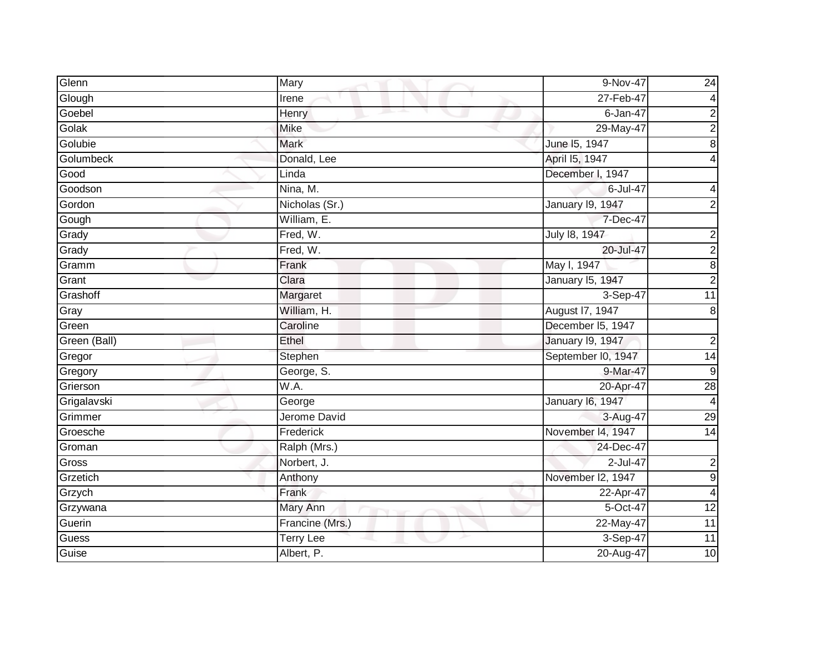| Glenn        | Mary             | 9-Nov-47                | $\overline{24}$         |
|--------------|------------------|-------------------------|-------------------------|
| Glough       | Irene            | 27-Feb-47               | 4                       |
| Goebel       | Henry            | $6 - Jan-47$            | $\overline{\mathbf{c}}$ |
| Golak        | <b>Mike</b>      | 29-May-47               | $\overline{2}$          |
| Golubie      | <b>Mark</b>      | June 15, 1947           | 8                       |
| Golumbeck    | Donald, Lee      | April 15, 1947          | 4                       |
| Good         | Linda            | December I, 1947        |                         |
| Goodson      | Nina, M.         | 6-Jul-47                | 4                       |
| Gordon       | Nicholas (Sr.)   | <b>January 19, 1947</b> | $\overline{2}$          |
| Gough        | William, E.      | 7-Dec-47                |                         |
| Grady        | Fred, W.         | July 18, 1947           | $\overline{\mathbf{c}}$ |
| Grady        | Fred, W.         | 20-Jul-47               | $\overline{2}$          |
| Gramm        | Frank            | May I, 1947             | 8                       |
| Grant        | Clara            | <b>January 15, 1947</b> | $\overline{2}$          |
| Grashoff     | Margaret         | 3-Sep-47                | $\overline{11}$         |
| Gray         | William, H.      | August 17, 1947         | 8                       |
| Green        | Caroline         | December I5, 1947       |                         |
| Green (Ball) | Ethel            | <b>January 19, 1947</b> | $\boldsymbol{2}$        |
| Gregor       | Stephen          | September I0, 1947      | 14                      |
| Gregory      | George, S.       | 9-Mar-47                | 9                       |
| Grierson     | W.A.             | 20-Apr-47               | $\overline{28}$         |
| Grigalavski  | George           | <b>January 16, 1947</b> | 4                       |
| Grimmer      | Jerome David     | 3-Aug-47                | $\overline{29}$         |
| Groesche     | Frederick        | November 14, 1947       | 14                      |
| Groman       | Ralph (Mrs.)     | 24-Dec-47               |                         |
| Gross        | Norbert, J.      | 2-Jul-47                | $\overline{\mathbf{c}}$ |
| Grzetich     | Anthony          | November I2, 1947       | 9                       |
| Grzych       | Frank            | 22-Apr-47               | $\overline{4}$          |
| Grzywana     | Mary Ann         | 5-Oct-47                | $\overline{12}$         |
| Guerin       | Francine (Mrs.)  | 22-May-47               | 11                      |
| Guess        | <b>Terry Lee</b> | 3-Sep-47                | $\overline{11}$         |
| Guise        | Albert, P.       | 20-Aug-47               | $\overline{10}$         |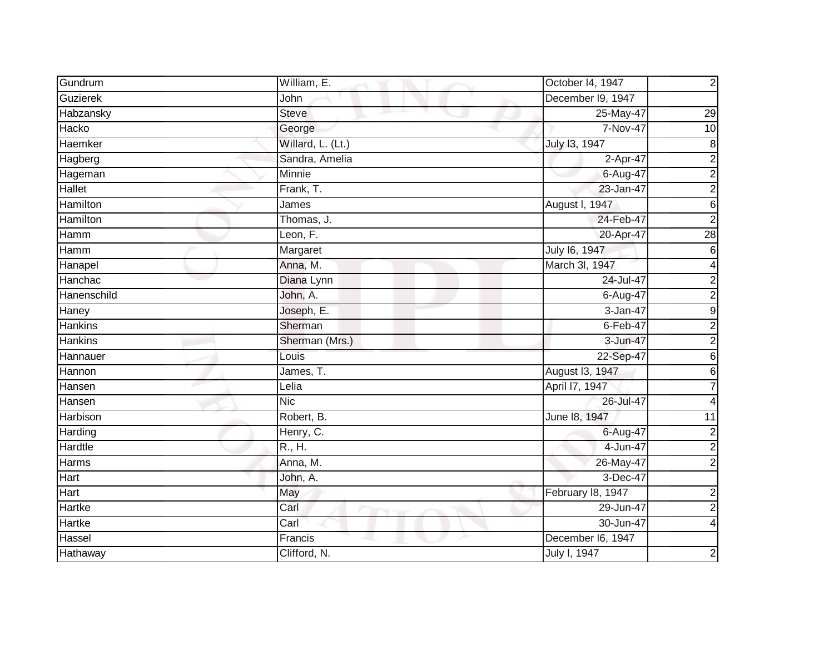| Gundrum          | William, E.       | October I4, 1947  | $\overline{c}$          |
|------------------|-------------------|-------------------|-------------------------|
| Guzierek         | John              | December I9, 1947 |                         |
| <b>Habzansky</b> | <b>Steve</b>      | 25-May-47         | $\overline{29}$         |
| Hacko            | George            | 7-Nov-47          | 10                      |
| Haemker          | Willard, L. (Lt.) | July 13, 1947     | $\bf 8$                 |
| Hagberg          | Sandra, Amelia    | 2-Apr-47          | $\overline{\mathbf{c}}$ |
| Hageman          | Minnie            | 6-Aug-47          | $\overline{2}$          |
| <b>Hallet</b>    | Frank, T.         | 23-Jan-47         | $\overline{2}$          |
| Hamilton         | James             | August I, 1947    | 6                       |
| Hamilton         | Thomas, J.        | 24-Feb-47         | $\overline{2}$          |
| Hamm             | Leon, F.          | 20-Apr-47         | 28                      |
| Hamm             | Margaret          | July 16, 1947     | 6                       |
| Hanapel          | Anna, M.          | March 3l, 1947    | 4                       |
| Hanchac          | Diana Lynn        | 24-Jul-47         | 2                       |
| Hanenschild      | John, A.          | 6-Aug-47          | $\overline{c}$          |
| Haney            | Joseph, E.        | 3-Jan-47          | $\boldsymbol{9}$        |
| <b>Hankins</b>   | Sherman           | $6$ -Feb-47       | $\overline{2}$          |
| <b>Hankins</b>   | Sherman (Mrs.)    | 3-Jun-47          | $\overline{\mathbf{c}}$ |
| Hannauer         | Louis             | 22-Sep-47         | 6                       |
| Hannon           | James, T.         | August 13, 1947   | 6                       |
| Hansen           | Lelia             | April 17, 1947    |                         |
| Hansen           | <b>Nic</b>        | 26-Jul-47         | 4                       |
| Harbison         | Robert, B.        | June 18, 1947     | 11                      |
| Harding          | Henry, C.         | 6-Aug-47          | $\overline{\mathbf{c}}$ |
| Hardtle          | R., H.            | 4-Jun-47          | $\overline{c}$          |
| Harms            | Anna, M.          | $26$ -May-47      | $\overline{2}$          |
| <b>Hart</b>      | John, A.          | 3-Dec-47          |                         |
| Hart             | May               | February 18, 1947 | $\mathbf 2$             |
| Hartke           | Carl              | 29-Jun-47         | $\overline{2}$          |
| Hartke           | Carl              | 30-Jun-47         |                         |
| Hassel           | Francis           | December I6, 1947 |                         |
| Hathaway         | Clifford, N.      | July I, 1947      | 2                       |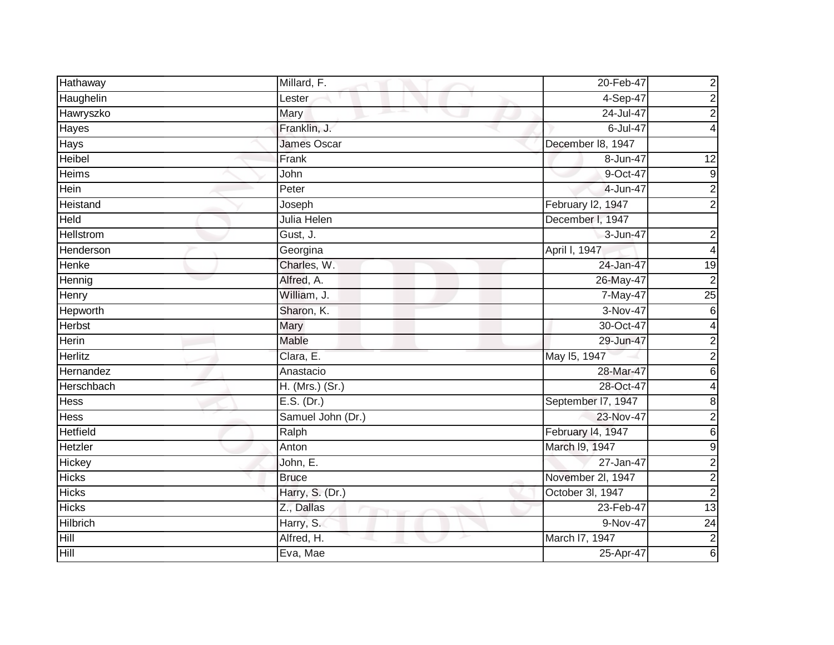| Hathaway         | Millard, F.        | 20-Feb-47          | $\mathbf 2$             |
|------------------|--------------------|--------------------|-------------------------|
| Haughelin        | Lester             | $4-Sep-47$         | $\boldsymbol{2}$        |
| Hawryszko        | Mary               | 24-Jul-47          | $\overline{c}$          |
| Hayes            | Franklin, J.       | 6-Jul-47           | 4                       |
| Hays             | <b>James Oscar</b> | December 18, 1947  |                         |
| <b>Heibel</b>    | Frank              | 8-Jun-47           | 12                      |
| Heims            | John               | 9-Oct-47           | $\boldsymbol{9}$        |
| Hein             | Peter              | 4-Jun-47           | $\overline{\mathbf{c}}$ |
| Heistand         | Joseph             | February I2, 1947  | $\overline{2}$          |
| <b>Held</b>      | Julia Helen        | December I, 1947   |                         |
| <b>Hellstrom</b> | Gust, J.           | 3-Jun-47           | $\overline{c}$          |
| Henderson        | Georgina           | April I, 1947      | 4                       |
| Henke            | Charles, W.        | 24-Jan-47          | 19                      |
| Hennig           | Alfred, A.         | 26-May-47          | $\overline{2}$          |
| <b>Henry</b>     | William, J.        | 7-May-47           | $\overline{25}$         |
| Hepworth         | Sharon, K.         | 3-Nov-47           | 6                       |
| Herbst           | Mary               | 30-Oct-47          | 4                       |
| Herin            | <b>Mable</b>       | 29-Jun-47          | 2                       |
| Herlitz          | Clara, E.          | May 15, 1947       | $\overline{2}$          |
| Hernandez        | Anastacio          | 28-Mar-47          | 6                       |
| Herschbach       | H. (Mrs.) (Sr.)    | 28-Oct-47          | 4                       |
| <b>Hess</b>      | E.S. (Dr.)         | September I7, 1947 | 8                       |
| Hess             | Samuel John (Dr.)  | 23-Nov-47          | $\overline{c}$          |
| <b>Hetfield</b>  | Ralph              | February 14, 1947  | $\,$ 6                  |
| Hetzler          | Anton              | March 19, 1947     | 9                       |
| Hickey           | John, E.           | 27-Jan-47          | $\overline{2}$          |
| <b>Hicks</b>     | <b>Bruce</b>       | November 2l, 1947  | $\overline{2}$          |
| <b>Hicks</b>     | Harry, S. (Dr.)    | October 3I, 1947   | $\overline{2}$          |
| <b>Hicks</b>     | Z., Dallas         | 23-Feb-47          | $\overline{13}$         |
| <b>Hilbrich</b>  | Harry, S.          | 9-Nov-47           | 24                      |
| Hill             | Alfred, H.         | March I7, 1947     | $\overline{2}$          |
| Hill             | Eva, Mae           | 25-Apr-47          | 6                       |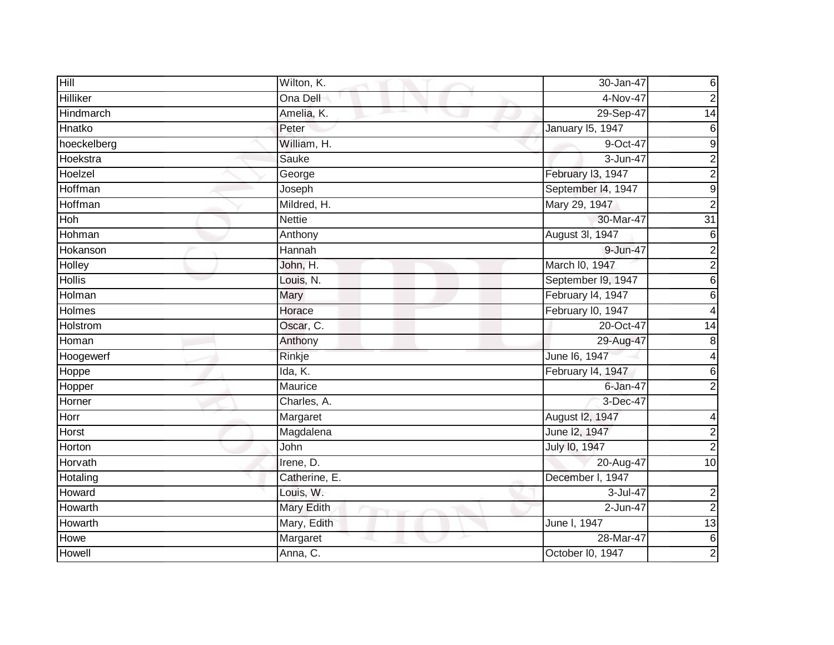| Hill          | Wilton, K.    | 30-Jan-47          | 6                       |
|---------------|---------------|--------------------|-------------------------|
| Hilliker      | Ona Dell      | $4-Nov-47$         | $\mathbf 2$             |
| Hindmarch     | Amelia, K.    | 29-Sep-47          | $\overline{14}$         |
| Hnatko        | Peter         | January 15, 1947   | 6                       |
| hoeckelberg   | William, H.   | 9-Oct-47           | 9                       |
| Hoekstra      | Sauke         | 3-Jun-47           | $\overline{c}$          |
| Hoelzel       | George        | February I3, 1947  | $\overline{2}$          |
| Hoffman       | Joseph        | September 14, 1947 | 9                       |
| Hoffman       | Mildred, H.   | Mary 29, 1947      | $\overline{2}$          |
| Hoh           | <b>Nettie</b> | 30-Mar-47          | 31                      |
| Hohman        | Anthony       | August 3l, 1947    | $\,$ 6                  |
| Hokanson      | Hannah        | 9-Jun-47           | $\overline{\mathbf{c}}$ |
| Holley        | John, H.      | March I0, 1947     | $\overline{2}$          |
| <b>Hollis</b> | Louis, N.     | September I9, 1947 | 6                       |
| Holman        | Mary          | February I4, 1947  | 6                       |
| Holmes        | Horace        | February I0, 1947  | 4                       |
| Holstrom      | Oscar, C.     | 20-Oct-47          | 14                      |
| Homan         | Anthony       | 29-Aug-47          | 8                       |
| Hoogewerf     | Rinkje        | June 16, 1947      | 4                       |
| Hoppe         | Ida, K.       | February 14, 1947  | 6                       |
| Hopper        | Maurice       | 6-Jan-47           | $\overline{2}$          |
| Horner        | Charles, A.   | 3-Dec-47           |                         |
| Horr          | Margaret      | August 12, 1947    | 4                       |
| Horst         | Magdalena     | June 12, 1947      | $\overline{c}$          |
| Horton        | John          | July 10, 1947      | $\overline{c}$          |
| Horvath       | Irene, D.     | 20-Aug-47          | $\overline{10}$         |
| Hotaling      | Catherine, E. | December I, 1947   |                         |
| Howard        | Louis, W.     | 3-Jul-47           | $\boldsymbol{2}$        |
| Howarth       | Mary Edith    | 2-Jun-47           | $\overline{2}$          |
| Howarth       | Mary, Edith   | June I, 1947       | 13                      |
| Howe          | Margaret      | 28-Mar-47          | $\,$ 6 $\,$             |
| Howell        | Anna, C.      | October I0, 1947   | 2                       |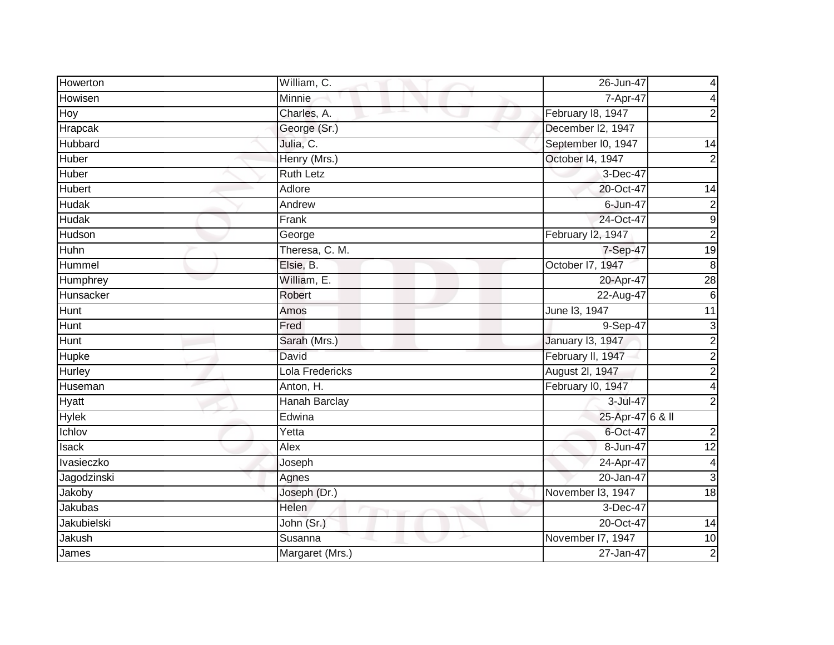| Howerton      | William, C.          | 26-Jun-47          | 4                       |
|---------------|----------------------|--------------------|-------------------------|
| Howisen       | Minnie               | 7-Apr-47           | 4                       |
| Hoy           | Charles, A.          | February 18, 1947  | $\overline{2}$          |
| Hrapcak       | George (Sr.)         | December I2, 1947  |                         |
| Hubbard       | Julia, C.            | September I0, 1947 | $\overline{14}$         |
| Huber         | Henry (Mrs.)         | October 14, 1947   | $\overline{2}$          |
| Huber         | <b>Ruth Letz</b>     | 3-Dec-47           |                         |
| <b>Hubert</b> | Adlore               | 20-Oct-47          | 14                      |
| <b>Hudak</b>  | Andrew               | 6-Jun-47           | 2                       |
| <b>Hudak</b>  | Frank                | 24-Oct-47          | 9                       |
| Hudson        | George               | February I2, 1947  | $\overline{c}$          |
| Huhn          | Theresa, C. M.       | 7-Sep-47           | 19                      |
| Hummel        | Elsie, B.            | October 17, 1947   | $\, 8$                  |
| Humphrey      | William, E.          | 20-Apr-47          | $\overline{28}$         |
| Hunsacker     | Robert               | 22-Aug-47          | $\,6$                   |
| <b>Hunt</b>   | Amos                 | June 13, 1947      | 11                      |
| <b>Hunt</b>   | Fred                 | 9-Sep-47           | دن                      |
| <b>Hunt</b>   | Sarah (Mrs.)         | January 13, 1947   | $\overline{\mathbf{c}}$ |
| Hupke         | David                | February II, 1947  | $\overline{2}$          |
| Hurley        | Lola Fredericks      | August 2l, 1947    | $\overline{2}$          |
| Huseman       | Anton, H.            | February I0, 1947  |                         |
| Hyatt         | <b>Hanah Barclay</b> | 3-Jul-47           | $\overline{2}$          |
| <b>Hylek</b>  | Edwina               | 25-Apr-47 6 & II   |                         |
| Ichlov        | Yetta                | 6-Oct-47           | 2                       |
| Isack         | Alex                 | 8-Jun-47           | $\overline{12}$         |
| Ivasieczko    | Joseph               | 24-Apr-47          | 4                       |
| Jagodzinski   | Agnes                | 20-Jan-47          | 3                       |
| Jakoby        | Joseph (Dr.)         | November I3, 1947  | $\overline{18}$         |
| Jakubas       | Helen                | 3-Dec-47           |                         |
| Jakubielski   | John (Sr.)           | 20-Oct-47          | 14                      |
| Jakush        | Susanna              | November I7, 1947  | 10                      |
| James         | Margaret (Mrs.)      | 27-Jan-47          | $\mathbf 2$             |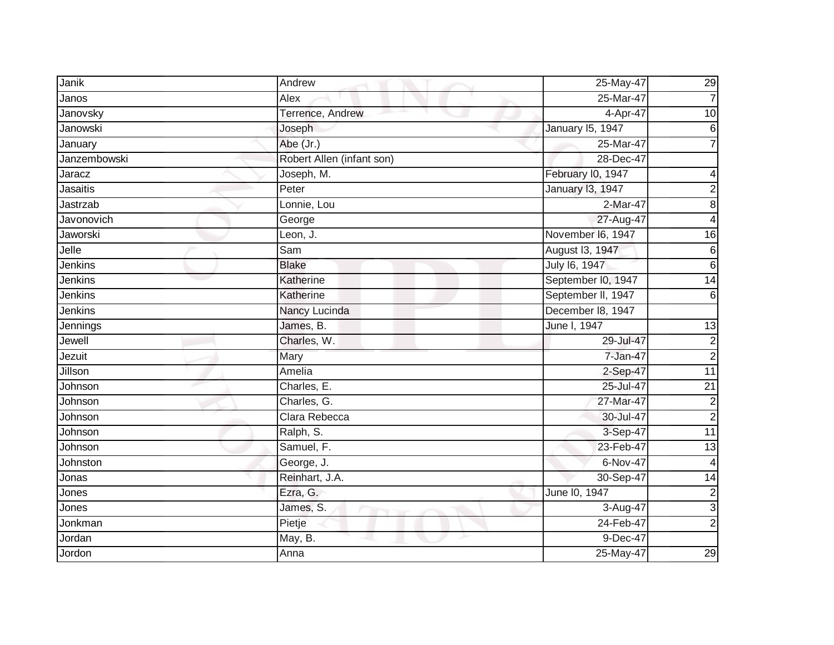| Janik        | Andrew                    | 25-May-47               | 29              |
|--------------|---------------------------|-------------------------|-----------------|
| Janos        | Alex                      | 25-Mar-47               | $\overline{7}$  |
| Janovsky     | Terrence, Andrew          | 4-Apr-47                | $\overline{10}$ |
| Janowski     | Joseph                    | January 15, 1947        | 6               |
| January      | Abe (Jr.)                 | 25-Mar-47               |                 |
| Janzembowski | Robert Allen (infant son) | 28-Dec-47               |                 |
| Jaracz       | Joseph, M.                | February I0, 1947       | 4               |
| Jasaitis     | Peter                     | <b>January 13, 1947</b> | $\overline{2}$  |
| Jastrzab     | Lonnie, Lou               | 2-Mar-47                | 8               |
| Javonovich   | George                    | 27-Aug-47               | 4               |
| Jaworski     | Leon, J.                  | November I6, 1947       | 16              |
| Jelle        | Sam                       | August I3, 1947         | 6               |
| Jenkins      | <b>Blake</b>              | July 16, 1947           | 6               |
| Jenkins      | Katherine                 | September I0, 1947      | 14              |
| Jenkins      | Katherine                 | September II, 1947      | 6               |
| Jenkins      | Nancy Lucinda             | December 18, 1947       |                 |
| Jennings     | James, B.                 | June I, 1947            | 13              |
| Jewell       | Charles, W.               | 29-Jul-47               | 2               |
| Jezuit       | Mary                      | 7-Jan-47                | $\overline{c}$  |
| Jillson      | Amelia                    | 2-Sep-47                | 11              |
| Johnson      | Charles, E.               | 25-Jul-47               | $\overline{21}$ |
| Johnson      | Charles, G.               | 27-Mar-47               | $\overline{c}$  |
| Johnson      | Clara Rebecca             | 30-Jul-47               | $\overline{2}$  |
| Johnson      | Ralph, S.                 | 3-Sep-47                | $\overline{11}$ |
| Johnson      | Samuel, F.                | 23-Feb-47               | 13              |
| Johnston     | George, J.                | 6-Nov-47                | 4               |
| Jonas        | Reinhart, J.A.            | 30-Sep-47               | 14              |
| Jones        | Ezra, G.                  | June 10, 1947           | $\mathbf 2$     |
| Jones        | James, S.                 | 3-Aug-47                | 3               |
| Jonkman      | Pietje                    | 24-Feb-47               | $\overline{2}$  |
| Jordan       | May, B.                   | 9-Dec-47                |                 |
| Jordon       | Anna                      | $25$ -May-47            | 29              |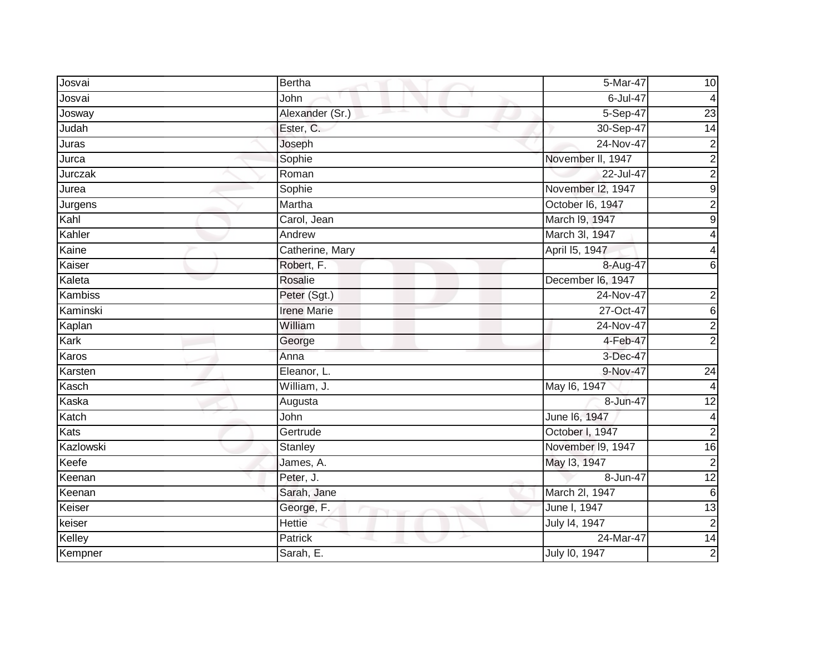| Josvai      | Bertha             | 5-Mar-47          | 10                      |
|-------------|--------------------|-------------------|-------------------------|
| Josvai      | John               | 6-Jul-47          | 4                       |
| Josway      | Alexander (Sr.)    | 5-Sep-47          | 23                      |
| Judah       | Ester, C.          | 30-Sep-47         | 14                      |
| Juras       | Joseph             | 24-Nov-47         | $\overline{\mathbf{c}}$ |
| Jurca       | Sophie             | November II, 1947 | $\overline{\mathbf{c}}$ |
| Jurczak     | Roman              | 22-Jul-47         | $\overline{2}$          |
| Jurea       | Sophie             | November I2, 1947 | $\mathsf 9$             |
| Jurgens     | Martha             | October I6, 1947  | $\overline{c}$          |
| Kahl        | Carol, Jean        | March I9, 1947    | $\mathsf 9$             |
| Kahler      | Andrew             | March 3l, 1947    | 4                       |
| Kaine       | Catherine, Mary    | April 15, 1947    | 4                       |
| Kaiser      | Robert, F.         | 8-Aug-47          | 6                       |
| Kaleta      | <b>Rosalie</b>     | December I6, 1947 |                         |
| Kambiss     | Peter (Sgt.)       | 24-Nov-47         | 2                       |
| Kaminski    | <b>Irene Marie</b> | 27-Oct-47         | $\,$ 6                  |
| Kaplan      | William            | 24-Nov-47         | $\overline{2}$          |
| Kark        | George             | 4-Feb-47          | $\overline{c}$          |
| Karos       | Anna               | 3-Dec-47          |                         |
| Karsten     | Eleanor, L.        | 9-Nov-47          | 24                      |
| Kasch       | William, J.        | May 16, 1947      |                         |
| Kaska       | Augusta            | 8-Jun-47          | 12                      |
| Katch       | John               | June 16, 1947     | 4                       |
| <b>Kats</b> | Gertrude           | October I, 1947   | $\overline{2}$          |
| Kazlowski   | Stanley            | November I9, 1947 | $\overline{16}$         |
| Keefe       | James, A.          | May 13, 1947      | $\mathbf 2$             |
| Keenan      | Peter, J.          | 8-Jun-47          | 12                      |
| Keenan      | Sarah, Jane        | March 2l, 1947    | $\,6$                   |
| Keiser      | George, F.         | June I, 1947      | 13                      |
| keiser      | <b>Hettie</b>      | July 14, 1947     | $\mathbf 2$             |
| Kelley      | Patrick            | 24-Mar-47         | 14                      |
| Kempner     | Sarah, E.          | July 10, 1947     | $\overline{2}$          |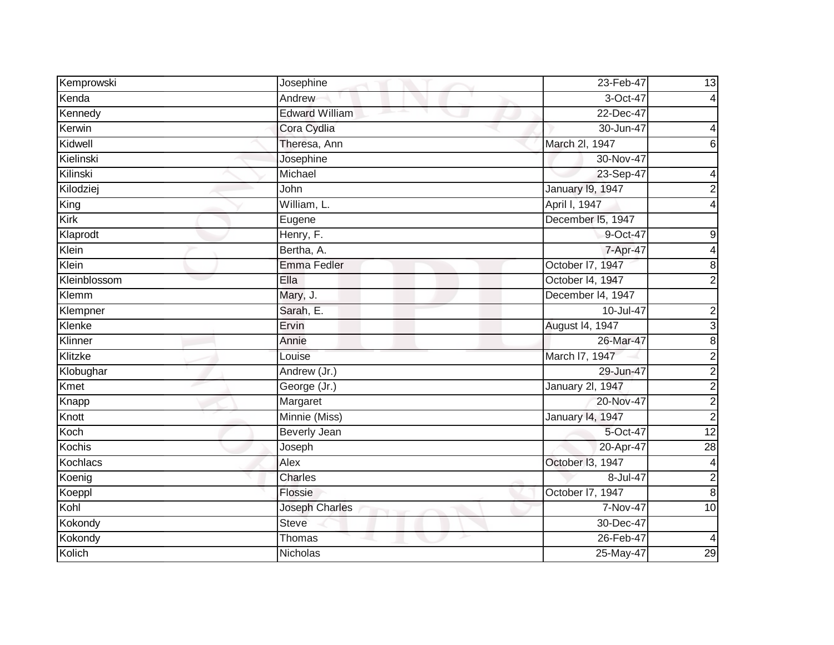| Kemprowski   | Josephine             | 23-Feb-47               | 13                      |
|--------------|-----------------------|-------------------------|-------------------------|
| Kenda        | Andrew                | 3-Oct-47                | $\overline{4}$          |
| Kennedy      | <b>Edward William</b> | 22-Dec-47               |                         |
| Kerwin       | Cora Cydlia           | 30-Jun-47               | 4                       |
| Kidwell      | Theresa, Ann          | March 2l, 1947          | 6                       |
| Kielinski    | Josephine             | 30-Nov-47               |                         |
| Kilinski     | Michael               | 23-Sep-47               | 4                       |
| Kilodziej    | John                  | <b>January 19, 1947</b> | 2                       |
| King         | William, L.           | April I, 1947           |                         |
| Kirk         | Eugene                | December I5, 1947       |                         |
| Klaprodt     | Henry, F.             | 9-Oct-47                | 9                       |
| Klein        | Bertha, A.            | 7-Apr-47                | 4                       |
| Klein        | Emma Fedler           | October I7, 1947        | 8                       |
| Kleinblossom | Ella                  | October I4, 1947        | $\overline{2}$          |
| Klemm        | Mary, J.              | December 14, 1947       |                         |
| Klempner     | Sarah, E.             | 10-Jul-47               | $\overline{c}$          |
| Klenke       | Ervin                 | August 14, 1947         | 3                       |
| Klinner      | Annie                 | 26-Mar-47               | 8                       |
| Klitzke      | Louise                | March I7, 1947          | $\overline{c}$          |
| Klobughar    | Andrew (Jr.)          | 29-Jun-47               | $\overline{c}$          |
| Kmet         | George (Jr.)          | January 2l, 1947        | $\overline{\mathbf{c}}$ |
| Knapp        | Margaret              | 20-Nov-47               | $\overline{2}$          |
| Knott        | Minnie (Miss)         | January 14, 1947        | $\overline{c}$          |
| Koch         | <b>Beverly Jean</b>   | 5-Oct-47                | $\overline{12}$         |
| Kochis       | Joseph                | 20-Apr-47               | 28                      |
| Kochlacs     | Alex                  | October I3, 1947        | $\overline{\mathbf{4}}$ |
| Koenig       | Charles               | 8-Jul-47                | $\overline{c}$          |
| Koeppl       | Flossie               | October I7, 1947        | 8                       |
| Kohl         | <b>Joseph Charles</b> | 7-Nov-47                | 10                      |
| Kokondy      | <b>Steve</b>          | 30-Dec-47               |                         |
| Kokondy      | Thomas                | 26-Feb-47               | $\overline{4}$          |
| Kolich       | Nicholas              | 25-May-47               | 29                      |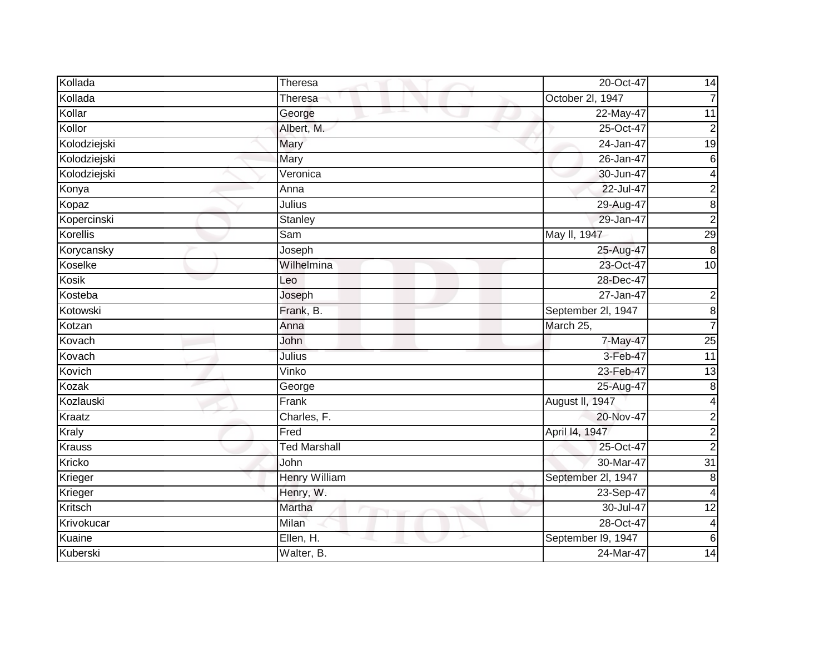| Kollada       | Theresa              | 20-Oct-47          | 14                      |
|---------------|----------------------|--------------------|-------------------------|
| Kollada       | Theresa              | October 2l, 1947   | $\overline{7}$          |
| Kollar        | George               | 22-May-47          | 11                      |
| Kollor        | Albert, M.           | 25-Oct-47          | $\overline{2}$          |
| Kolodziejski  | Mary                 | 24-Jan-47          | 19                      |
| Kolodziejski  | Mary                 | 26-Jan-47          | $\,6$                   |
| Kolodziejski  | Veronica             | 30-Jun-47          | 4                       |
| Konya         | Anna                 | 22-Jul-47          | $\overline{c}$          |
| Kopaz         | Julius               | 29-Aug-47          | 8                       |
| Kopercinski   | Stanley              | 29-Jan-47          | $\overline{2}$          |
| Korellis      | Sam                  | May II, 1947       | 29                      |
| Korycansky    | Joseph               | 25-Aug-47          | 8                       |
| Koselke       | Wilhelmina           | 23-Oct-47          | 10                      |
| Kosik         | Leo                  | 28-Dec-47          |                         |
| Kosteba       | Joseph               | $27 - Jan-47$      | $\overline{c}$          |
| Kotowski      | Frank, B.            | September 2l, 1947 | $\bf8$                  |
| Kotzan        | Anna                 | March 25,          | $\overline{7}$          |
| Kovach        | John                 | 7-May-47           | 25                      |
| Kovach        | <b>Julius</b>        | 3-Feb-47           | 11                      |
| Kovich        | Vinko                | 23-Feb-47          | 13                      |
| Kozak         | George               | 25-Aug-47          | 8                       |
| Kozlauski     | Frank                | August II, 1947    | 4                       |
| Kraatz        | Charles, F.          | 20-Nov-47          | $\overline{2}$          |
| Kraly         | Fred                 | April 14, 1947     | $\overline{c}$          |
| <b>Krauss</b> | <b>Ted Marshall</b>  | 25-Oct-47          | $\overline{2}$          |
| Kricko        | John                 | 30-Mar-47          | $\overline{31}$         |
| Krieger       | <b>Henry William</b> | September 2l, 1947 | 8                       |
| Krieger       | Henry, W.            | 23-Sep-47          | 4                       |
| Kritsch       | Martha               | 30-Jul-47          | $\overline{12}$         |
| Krivokucar    | Milan                | 28-Oct-47          | $\overline{\mathbf{4}}$ |
| Kuaine        | Ellen, H.            | September I9, 1947 | $\,6$                   |
| Kuberski      | Walter, B.           | 24-Mar-47          | 14                      |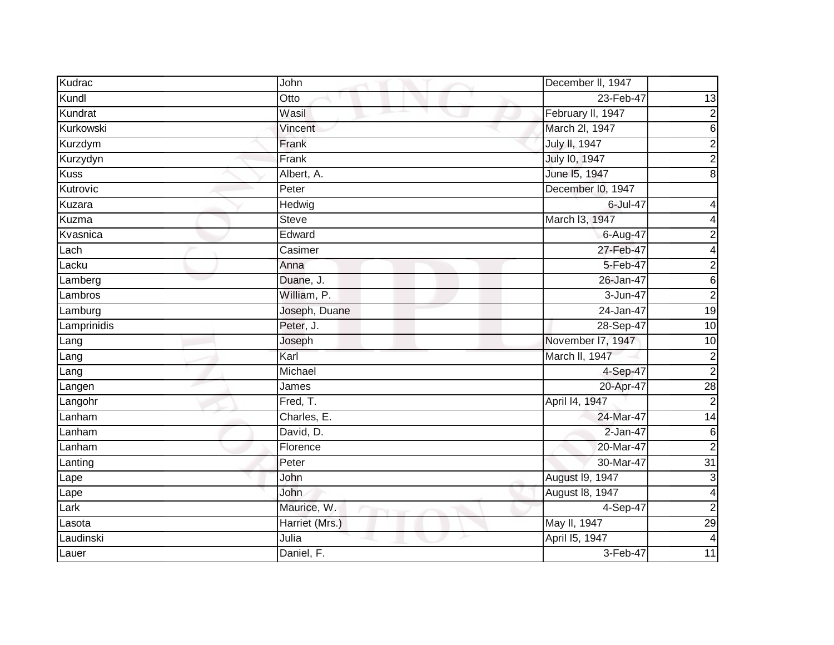| Kudrac      | John                     | December II, 1947    |                         |
|-------------|--------------------------|----------------------|-------------------------|
| Kundl       | Otto                     | 23-Feb-47            | 13                      |
| Kundrat     | Wasil<br>and the project | February II, 1947    | $\mathbf 2$             |
| Kurkowski   | Vincent                  | March 2I, 1947       | $\overline{6}$          |
| Kurzdym     | Frank                    | <b>July II, 1947</b> | $\overline{2}$          |
| Kurzydyn    | Frank                    | July 10, 1947        | $\overline{2}$          |
| <b>Kuss</b> | Albert, A.               | June 15, 1947        | $\overline{8}$          |
| Kutrovic    | Peter                    | December I0, 1947    |                         |
| Kuzara      | Hedwig                   | 6-Jul-47             |                         |
| Kuzma       | <b>Steve</b>             | March I3, 1947       | 4                       |
| Kvasnica    | Edward                   | 6-Aug-47             | $\overline{\mathbf{c}}$ |
| Lach        | Casimer                  | 27-Feb-47            | 4                       |
| Lacku       | Anna                     | 5-Feb-47             | $\overline{2}$          |
| Lamberg     | Duane, J.                | 26-Jan-47            | $\overline{6}$          |
| Lambros     | William, P.              | 3-Jun-47             | $\overline{2}$          |
| Lamburg     | Joseph, Duane            | 24-Jan-47            | 19                      |
| Lamprinidis | Peter, J.                | 28-Sep-47            | 10                      |
| Lang        | Joseph                   | November 17, 1947    | 10                      |
| Lang        | Karl                     | March II, 1947       | $\overline{2}$          |
| Lang        | Michael                  | 4-Sep-47             | $\overline{2}$          |
| Langen      | James                    | 20-Apr-47            | $\overline{28}$         |
| Langohr     | Fred, T.                 | April 14, 1947       | $\overline{2}$          |
| Lanham      | Charles, E.              | 24-Mar-47            | $\overline{14}$         |
| Lanham      | David, D.                | 2-Jan-47             | $\,6\,$                 |
| Lanham      | Florence                 | 20-Mar-47            | $\overline{2}$          |
| Lanting     | Peter                    | 30-Mar-47            | $\overline{31}$         |
| Lape        | John                     | August 19, 1947      | $\overline{3}$          |
| Lape        | John                     | August 18, 1947      | $\overline{\mathbf{4}}$ |
| Lark        | Maurice, W.              | 4-Sep-47             | $\overline{c}$          |
| Lasota      | Harriet (Mrs.)           | May II, 1947         | $\overline{29}$         |
| Laudinski   | Julia                    | April 15, 1947       | $\overline{4}$          |
| Lauer       | Daniel, F.               | 3-Feb-47             | $\overline{11}$         |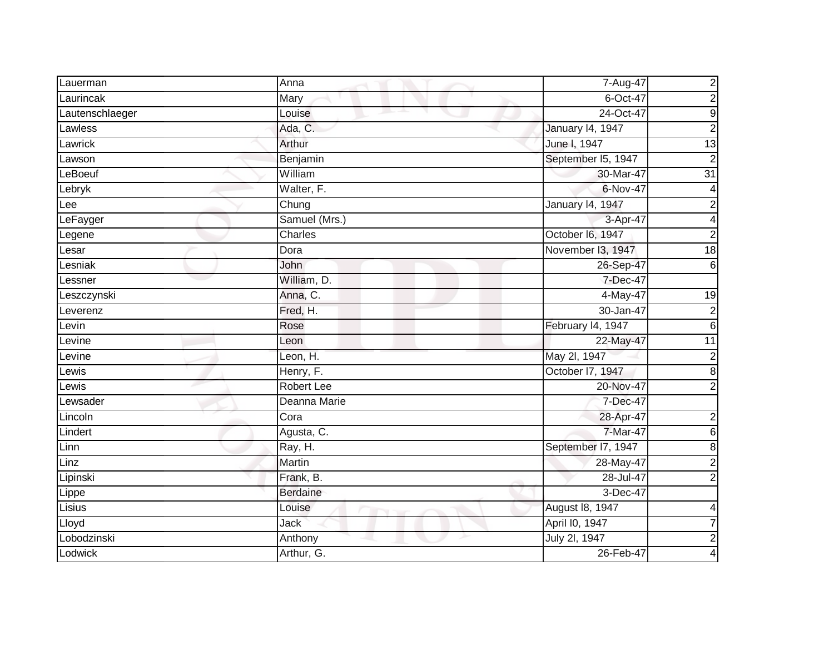| Lauerman        | Anna            | 7-Aug-47                | $\overline{\mathbf{c}}$ |
|-----------------|-----------------|-------------------------|-------------------------|
| Laurincak       | Mary            | 6-Oct-47                | $\boldsymbol{2}$        |
| Lautenschlaeger | Louise          | 24-Oct-47               | g                       |
| Lawless         | Ada, C.         | <b>January 14, 1947</b> | $\overline{2}$          |
| Lawrick         | Arthur          | June I, 1947            | 13                      |
| Lawson          | Benjamin        | September I5, 1947      | $\mathbf 2$             |
| LeBoeuf         | William         | 30-Mar-47               | $\overline{31}$         |
| Lebryk          | Walter, F.      | 6-Nov-47                | 4                       |
| Lee             | Chung           | January 14, 1947        | $\overline{c}$          |
| LeFayger        | Samuel (Mrs.)   | 3-Apr-47                | 4                       |
| Legene          | Charles         | October I6, 1947        | $\overline{c}$          |
| Lesar           | Dora            | November I3, 1947       | $\frac{1}{8}$           |
| Lesniak         | John            | 26-Sep-47               | 6                       |
| Lessner         | William, D.     | 7-Dec-47                |                         |
| Leszczynski     | Anna, C.        | 4-May-47                | $\overline{19}$         |
| Leverenz        | Fred, H.        | 30-Jan-47               | $\boldsymbol{2}$        |
| Levin           | Rose            | February 14, 1947       | 6                       |
| Levine          | Leon            | 22-May-47               | $\overline{11}$         |
| Levine          | Leon, H.        | May 2l, 1947            | $\overline{\mathbf{c}}$ |
| Lewis           | Henry, F.       | October 17, 1947        | 8                       |
| Lewis           | Robert Lee      | 20-Nov-47               | $\overline{2}$          |
| Lewsader        | Deanna Marie    | 7-Dec-47                |                         |
| Lincoln         | Cora            | 28-Apr-47               | $\overline{\mathbf{c}}$ |
| Lindert         | Agusta, C.      | 7-Mar-47                | $\,$ 6                  |
| Linn            | Ray, H.         | September 17, 1947      | $\bf8$                  |
| Linz            | Martin          | 28-May-47               | $\overline{c}$          |
| Lipinski        | Frank, B.       | 28-Jul-47               | $\overline{2}$          |
| Lippe           | <b>Berdaine</b> | 3-Dec-47                |                         |
| Lisius          | Louise          | August 18, 1947         | 4                       |
| Lloyd           | <b>Jack</b>     | April I0, 1947          | $\overline{7}$          |
| Lobodzinski     | Anthony         | July 2I, 1947           | $\boldsymbol{2}$        |
| Lodwick         | Arthur, G.      | 26-Feb-47               | $\overline{\mathbf{4}}$ |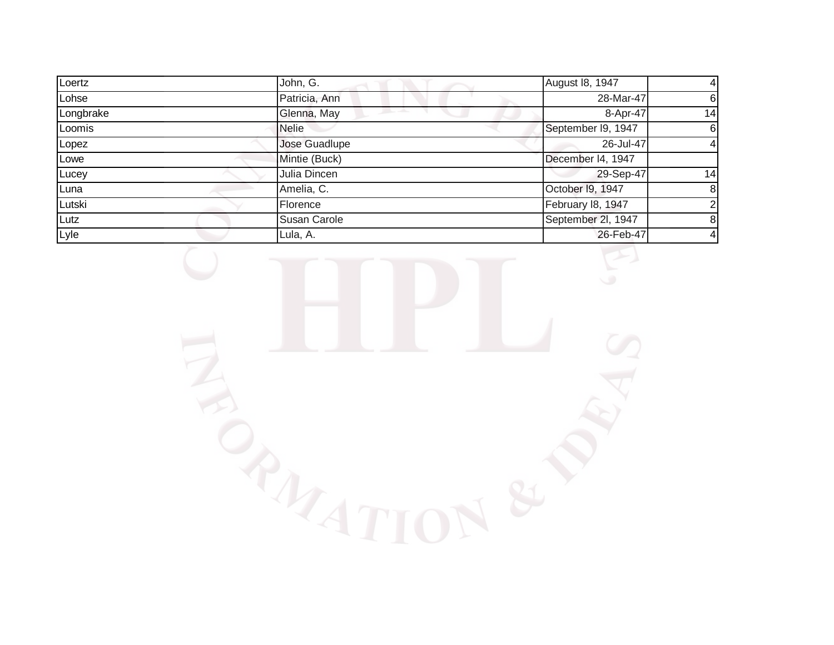| Loertz    | John, G.            | August 18, 1947    | $\overline{4}$ |
|-----------|---------------------|--------------------|----------------|
| Lohse     | Patricia, Ann       | 28-Mar-47          | $6 \mid$       |
| Longbrake | Glenna, May         | 8-Apr-47           | 14             |
| Loomis    | <b>Nelie</b>        | September I9, 1947 | 6              |
| Lopez     | Jose Guadlupe       | 26-Jul-47          | $\overline{4}$ |
| Lowe      | Mintie (Buck)       | December I4, 1947  |                |
| Lucey     | Julia Dincen        | 29-Sep-47          | 14             |
| Luna      | Amelia, C.          | October I9, 1947   | 8 <sup>1</sup> |
| Lutski    | Florence            | February 18, 1947  | 2 <sup>1</sup> |
| Lutz      | <b>Susan Carole</b> | September 2l, 1947 | 8 <sup>1</sup> |
| Lyle      | Lula, A.            | 26-Feb-47          | $\overline{4}$ |

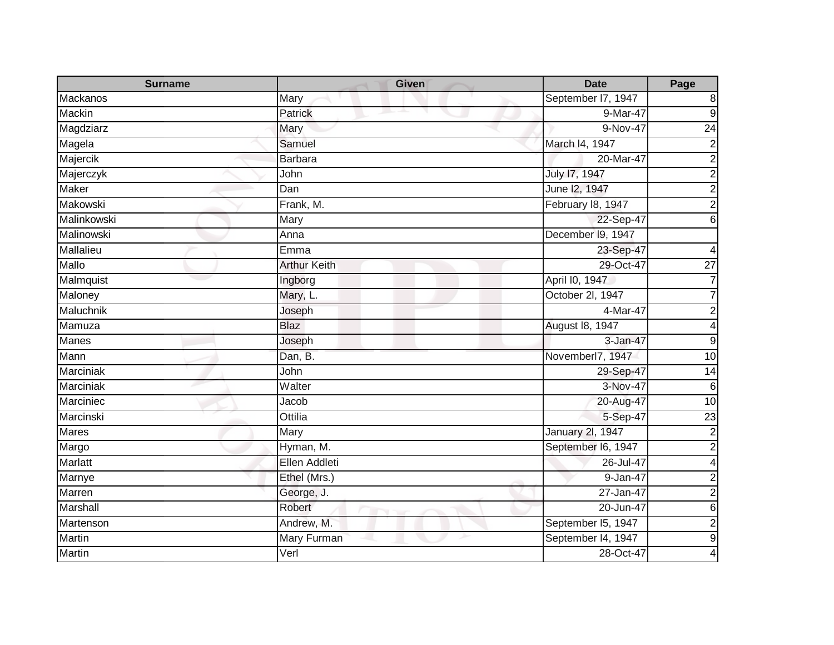| <b>Surname</b> | <b>Given</b>        | <b>Date</b>             | Page             |
|----------------|---------------------|-------------------------|------------------|
| Mackanos       | Mary                | September I7, 1947      | 8                |
| Mackin         | Patrick             | 9-Mar-47                | $\overline{9}$   |
| Magdziarz      | Mary                | 9-Nov-47                | $\overline{24}$  |
| Magela         | Samuel              | March I4, 1947          | $\overline{2}$   |
| Majercik       | <b>Barbara</b>      | 20-Mar-47               | $\overline{2}$   |
| Majerczyk      | John                | <b>July 17, 1947</b>    | $\overline{2}$   |
| <b>Maker</b>   | Dan                 | June 12, 1947           | $\overline{2}$   |
| Makowski       | Frank, M.           | February 18, 1947       | $\overline{2}$   |
| Malinkowski    | Mary                | 22-Sep-47               | $\overline{6}$   |
| Malinowski     | Anna                | December I9, 1947       |                  |
| Mallalieu      | Emma                | 23-Sep-47               | 4                |
| Mallo          | <b>Arthur Keith</b> | 29-Oct-47               | $\overline{27}$  |
| Malmquist      | Ingborg             | April I0, 1947          | $\overline{7}$   |
| Maloney        | Mary, L.            | October 2l, 1947        |                  |
| Maluchnik      | Joseph              | 4-Mar-47                | $\mathbf 2$      |
| Mamuza         | <b>Blaz</b>         | August 18, 1947         | 4                |
| <b>Manes</b>   | Joseph              | 3-Jan-47                | $\boldsymbol{9}$ |
| Mann           | Dan, B.             | Novemberl7, 1947        | 10               |
| Marciniak      | John                | 29-Sep-47               | $\overline{14}$  |
| Marciniak      | Walter              | 3-Nov-47                | $6\phantom{1}6$  |
| Marciniec      | Jacob               | 20-Aug-47               | 10               |
| Marcinski      | Ottilia             | 5-Sep-47                | $\overline{23}$  |
| <b>Mares</b>   | Mary                | <b>January 2l, 1947</b> | $\overline{c}$   |
| Margo          | Hyman, M.           | September I6, 1947      | $\overline{2}$   |
| Marlatt        | Ellen Addleti       | 26-Jul-47               | 4                |
| Marnye         | Ethel (Mrs.)        | 9-Jan-47                | $\overline{2}$   |
| Marren         | George, J.          | 27-Jan-47               | $\overline{2}$   |
| Marshall       | Robert              | 20-Jun-47               | $\overline{6}$   |
| Martenson      | Andrew, M.          | September I5, 1947      | $\overline{c}$   |
| Martin         | Mary Furman         | September I4, 1947      | $\overline{9}$   |
| <b>Martin</b>  | Verl                | 28-Oct-47               | 4                |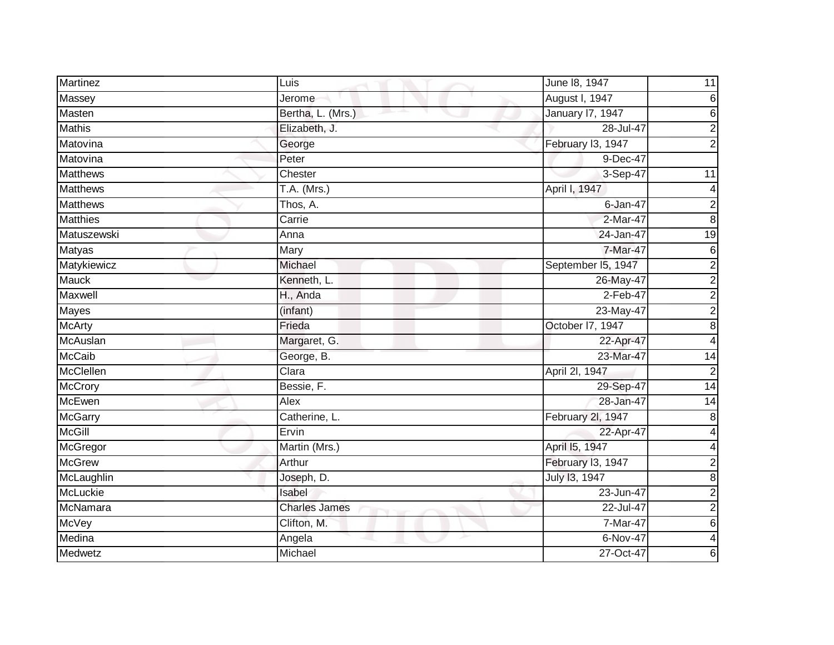| Martinez        | Luis                 | June 18, 1947           | 11                      |
|-----------------|----------------------|-------------------------|-------------------------|
| Massey          | Jerome               | August I, 1947          | $\,6$                   |
| Masten          | Bertha, L. (Mrs.)    | <b>January 17, 1947</b> | 6                       |
| <b>Mathis</b>   | Elizabeth, J.        | 28-Jul-47               | $\overline{2}$          |
| Matovina        | George               | February I3, 1947       | $\overline{2}$          |
| Matovina        | Peter                | 9-Dec-47                |                         |
| <b>Matthews</b> | Chester              | 3-Sep-47                | 11                      |
| <b>Matthews</b> | $T.A.$ (Mrs.)        | April I, 1947           | 4                       |
| <b>Matthews</b> | Thos, A.             | $6$ -Jan-47             | $\boldsymbol{2}$        |
| <b>Matthies</b> | Carrie               | 2-Mar-47                | $\overline{8}$          |
| Matuszewski     | Anna                 | 24-Jan-47               | 19                      |
| <b>Matyas</b>   | Mary                 | 7-Mar-47                | 6                       |
| Matykiewicz     | Michael              | September I5, 1947      | $\overline{2}$          |
| <b>Mauck</b>    | Kenneth, L.          | 26-May-47               | $\overline{2}$          |
| Maxwell         | H., Anda             | $2-Feb-47$              | $\overline{2}$          |
| Mayes           | (infant)             | 23-May-47               | $\overline{2}$          |
| <b>McArty</b>   | Frieda               | October 17, 1947        | $\overline{8}$          |
| McAuslan        | Margaret, G.         | 22-Apr-47               | 4                       |
| <b>McCaib</b>   | George, B.           | 23-Mar-47               | 14                      |
| McClellen       | Clara                | April 2I, 1947          | $\overline{\mathbf{c}}$ |
| McCrory         | Bessie, F.           | 29-Sep-47               | $\overline{14}$         |
| <b>McEwen</b>   | Alex                 | 28-Jan-47               | $\overline{14}$         |
| <b>McGarry</b>  | Catherine, L.        | February 2l, 1947       | 8                       |
| <b>McGill</b>   | Ervin                | 22-Apr-47               | 4                       |
| McGregor        | Martin (Mrs.)        | April 15, 1947          | 4                       |
| <b>McGrew</b>   | Arthur               | February I3, 1947       | 2                       |
| McLaughlin      | Joseph, D.           | July 13, 1947           | $\overline{8}$          |
| <b>McLuckie</b> | Isabel               | 23-Jun-47               | $\overline{2}$          |
| McNamara        | <b>Charles James</b> | 22-Jul-47               | $\boldsymbol{2}$        |
| McVey           | Clifton, M.          | 7-Mar-47                | $\overline{6}$          |
| Medina          | Angela               | $6-Nov-47$              | $\overline{4}$          |
| Medwetz         | Michael              | 27-Oct-47               | 6                       |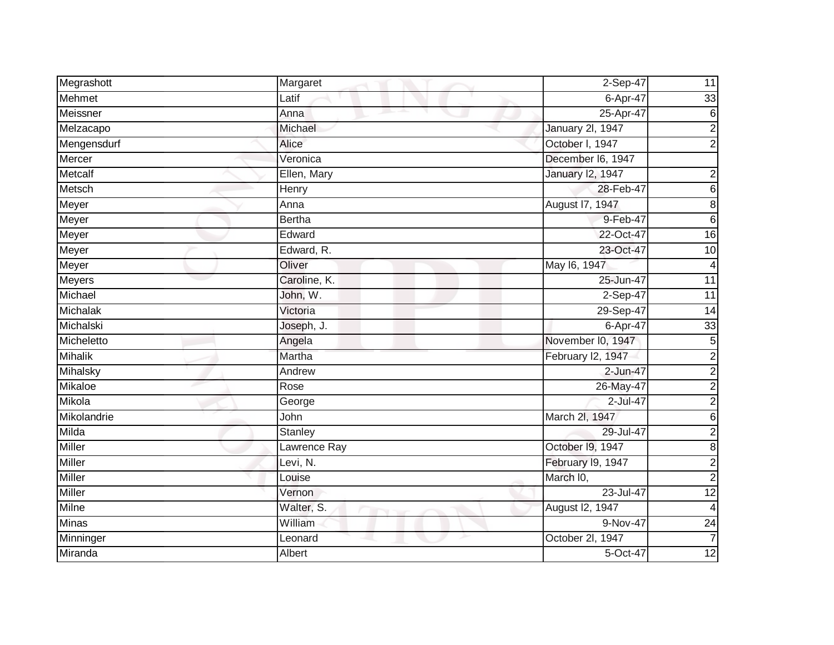| Megrashott     | Margaret      | 2-Sep-47          | 11                      |
|----------------|---------------|-------------------|-------------------------|
| Mehmet         | Latif         | 6-Apr-47          | 33                      |
| Meissner       | Anna          | 25-Apr-47         | 6                       |
| Melzacapo      | Michael       | January 2l, 1947  | $\overline{c}$          |
| Mengensdurf    | Alice         | October I, 1947   | $\mathbf 2$             |
| Mercer         | Veronica      | December I6, 1947 |                         |
| Metcalf        | Ellen, Mary   | January 12, 1947  | $\boldsymbol{2}$        |
| Metsch         | Henry         | 28-Feb-47         | $\,$ 6                  |
| Meyer          | Anna          | August 17, 1947   | 8                       |
| Meyer          | <b>Bertha</b> | 9-Feb-47          | $\overline{6}$          |
| Meyer          | Edward        | 22-Oct-47         | $\overline{16}$         |
| Meyer          | Edward, R.    | 23-Oct-47         | 10                      |
| Meyer          | Oliver        | May 16, 1947      | 4                       |
| <b>Meyers</b>  | Caroline, K.  | 25-Jun-47         | $\overline{11}$         |
| Michael        | John, W.      | $2-Sep-47$        | $\overline{11}$         |
| Michalak       | Victoria      | 29-Sep-47         | 14                      |
| Michalski      | Joseph, J.    | $6-Apr-47$        | 33                      |
| Micheletto     | Angela        | November I0, 1947 | 5                       |
| <b>Mihalik</b> | Martha        | February I2, 1947 | $\overline{2}$          |
| Mihalsky       | Andrew        | 2-Jun-47          | $\overline{2}$          |
| Mikaloe        | Rose          | 26-May-47         | $\overline{\mathbf{c}}$ |
| Mikola         | George        | 2-Jul-47          | $\overline{2}$          |
| Mikolandrie    | John          | March 2I, 1947    | $\,$ 6                  |
| Milda          | Stanley       | 29-Jul-47         | $\overline{c}$          |
| Miller         | Lawrence Ray  | October 19, 1947  | 8                       |
| Miller         | Levi, N.      | February 19, 1947 | $\overline{c}$          |
| <b>Miller</b>  | Louise        | March I0,         | $\overline{2}$          |
| <b>Miller</b>  | Vernon        | 23-Jul-47         | 12                      |
| <b>Milne</b>   | Walter, S.    | August I2, 1947   | 4                       |
| <b>Minas</b>   | William       | 9-Nov-47          | $\overline{24}$         |
| Minninger      | Leonard       | October 2I, 1947  | $\overline{7}$          |
| Miranda        | Albert        | 5-Oct-47          | $\overline{12}$         |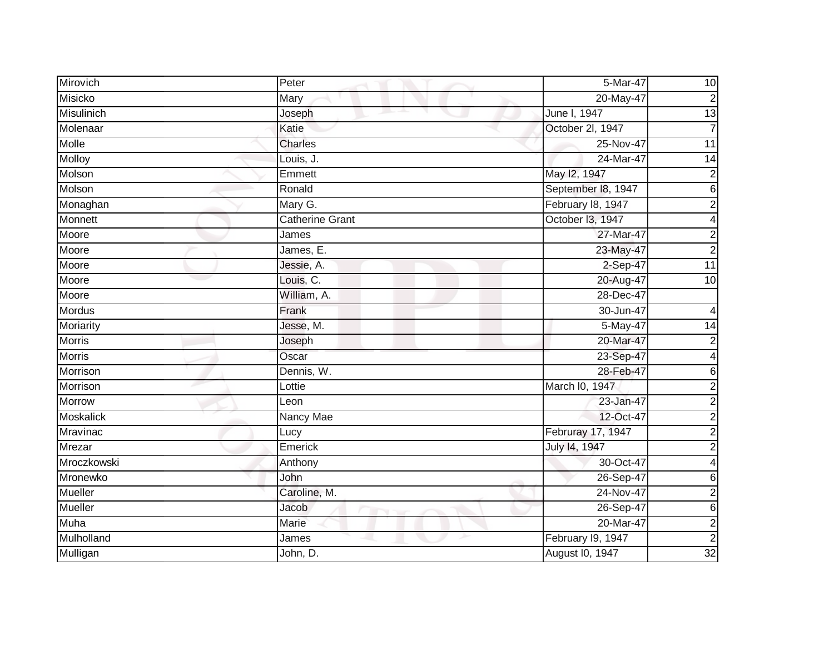| Mirovich         | Peter                  | 5-Mar-47           | 10              |
|------------------|------------------------|--------------------|-----------------|
| Misicko          | Mary                   | 20-May-47          | 2               |
| Misulinich       | Joseph                 | June I, 1947       | 13              |
| Molenaar         | Katie                  | October 2I, 1947   |                 |
| Molle            | Charles                | 25-Nov-47          | 11              |
| Molloy           | Louis, J.              | 24-Mar-47          | 14              |
| Molson           | Emmett                 | May 12, 1947       | $\overline{2}$  |
| Molson           | Ronald                 | September 18, 1947 | 6 <sup>1</sup>  |
| Monaghan         | Mary G.                | February 18, 1947  | $\overline{2}$  |
| Monnett          | <b>Catherine Grant</b> | October I3, 1947   |                 |
| Moore            | James                  | 27-Mar-47          | 2               |
| Moore            | James, E.              | 23-May-47          | $\overline{2}$  |
| Moore            | Jessie, A.             | 2-Sep-47           | 11              |
| Moore            | Louis, C.              | 20-Aug-47          | 10              |
| Moore            | William, A.            | 28-Dec-47          |                 |
| <b>Mordus</b>    | Frank                  | 30-Jun-47          |                 |
| Moriarity        | Jesse, M.              | 5-May-47           | 14              |
| <b>Morris</b>    | Joseph                 | 20-Mar-47          |                 |
| <b>Morris</b>    | Oscar                  | 23-Sep-47          |                 |
| Morrison         | Dennis, W.             | 28-Feb-47          | 6               |
| Morrison         | Lottie                 | March I0, 1947     | $\overline{2}$  |
| Morrow           | Leon                   | $23$ -Jan-47       | $\overline{2}$  |
| <b>Moskalick</b> | Nancy Mae              | 12-Oct-47          | $\overline{2}$  |
| Mravinac         | Lucy                   | Februray 17, 1947  | $\overline{2}$  |
| Mrezar           | Emerick                | July 14, 1947      | $\overline{c}$  |
| Mroczkowski      | Anthony                | 30-Oct-47          | 4               |
| Mronewko         | John                   | 26-Sep-47          | $6 \mid$        |
| Mueller          | Caroline, M.           | 24-Nov-47          | $\overline{2}$  |
| Mueller          | Jacob                  | 26-Sep-47          | 6 <sup>1</sup>  |
| Muha             | Marie                  | 20-Mar-47          | $\overline{c}$  |
| Mulholland       | James                  | February I9, 1947  | $\overline{2}$  |
| Mulligan         | John, D.               | August I0, 1947    | $\overline{32}$ |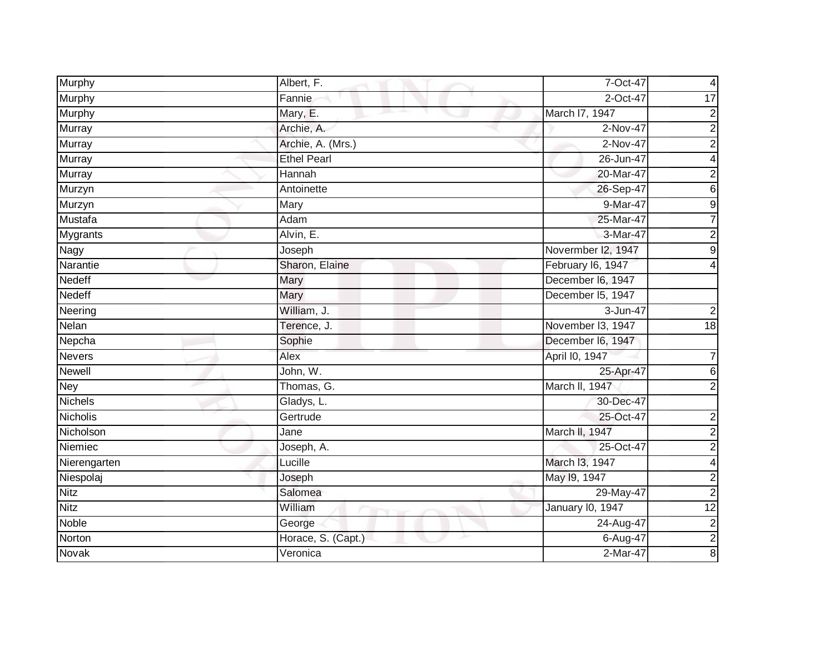| Murphy          | Albert, F.         | 7-Oct-47           | 4                       |
|-----------------|--------------------|--------------------|-------------------------|
| Murphy          | Fannie             | 2-Oct-47           | 17                      |
| Murphy          | Mary, E.           | March I7, 1947     | $\overline{\mathbf{c}}$ |
| Murray          | Archie, A.         | 2-Nov-47           | $\overline{2}$          |
| <b>Murray</b>   | Archie, A. (Mrs.)  | $2-Nov-47$         | $\overline{2}$          |
| Murray          | <b>Ethel Pearl</b> | 26-Jun-47          | 4                       |
| Murray          | Hannah             | 20-Mar-47          | $\overline{2}$          |
| Murzyn          | Antoinette         | 26-Sep-47          | $\overline{6}$          |
| Murzyn          | Mary               | 9-Mar-47           | $\overline{9}$          |
| Mustafa         | Adam               | 25-Mar-47          | $\overline{7}$          |
| <b>Mygrants</b> | Alvin, E.          | 3-Mar-47           | $\overline{c}$          |
| Nagy            | Joseph             | Novermber I2, 1947 | 9                       |
| Narantie        | Sharon, Elaine     | February I6, 1947  | 4                       |
| Nedeff          | <b>Mary</b>        | December I6, 1947  |                         |
| <b>Nedeff</b>   | <b>Mary</b>        | December I5, 1947  |                         |
| Neering         | William, J.        | 3-Jun-47           | $\overline{c}$          |
| Nelan           | Terence, J.        | November 13, 1947  | 18                      |
| Nepcha          | Sophie             | December I6, 1947  |                         |
| <b>Nevers</b>   | Alex               | April I0, 1947     | 7                       |
| <b>Newell</b>   | John, W.           | 25-Apr-47          | $\overline{6}$          |
| <b>Ney</b>      | Thomas, G.         | March II, 1947     | $\overline{2}$          |
| <b>Nichels</b>  | Gladys, L.         | 30-Dec-47          |                         |
| Nicholis        | Gertrude           | 25-Oct-47          | $\overline{\mathbf{c}}$ |
| Nicholson       | Jane               | March II, 1947     | $\overline{\mathbf{c}}$ |
| Niemiec         | Joseph, A.         | 25-Oct-47          | $\overline{2}$          |
| Nierengarten    | Lucille            | March I3, 1947     | 4                       |
| Niespolaj       | Joseph             | May 19, 1947       | $\overline{2}$          |
| Nitz            | Salomea            | 29-May-47          | $\overline{2}$          |
| Nitz            | William            | January 10, 1947   | 12                      |
| Noble           | George             | 24-Aug-47          |                         |
| Norton          | Horace, S. (Capt.) | 6-Aug-47           | $\frac{2}{2}$           |
| Novak           | Veronica           | 2-Mar-47           |                         |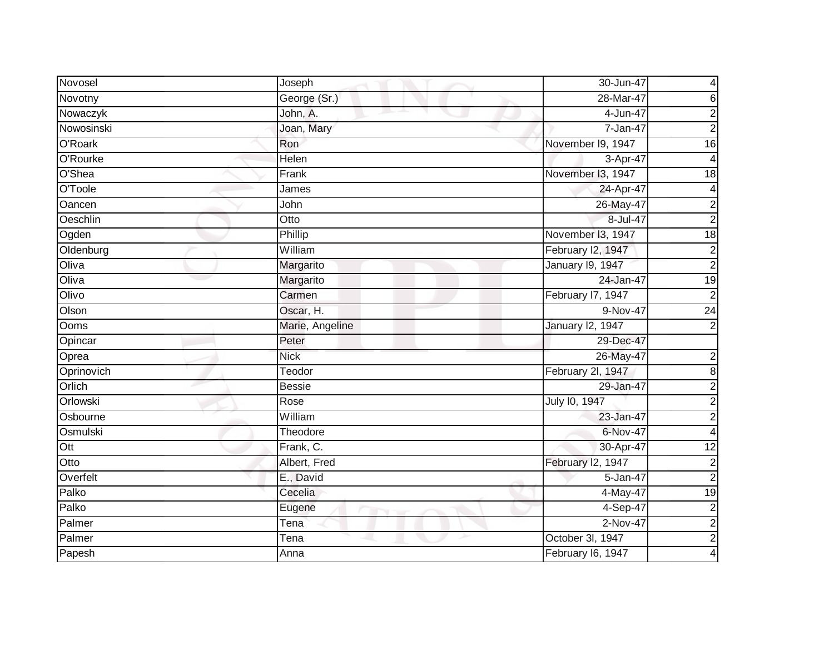| Novosel    | Joseph          | 30-Jun-47               | 4                       |
|------------|-----------------|-------------------------|-------------------------|
| Novotny    | George (Sr.)    | 28-Mar-47               | 6                       |
| Nowaczyk   | John, A.        | 4-Jun-47                | $\mathbf 2$             |
| Nowosinski | Joan, Mary      | 7-Jan-47                | $\overline{2}$          |
| O'Roark    | Ron             | November 19, 1947       | 16                      |
| O'Rourke   | Helen           | 3-Apr-47                |                         |
| O'Shea     | Frank           | November I3, 1947       | $\overline{18}$         |
| O'Toole    | James           | 24-Apr-47               | 4                       |
| Oancen     | John            | 26-May-47               | $\boldsymbol{2}$        |
| Oeschlin   | Otto            | 8-Jul-47                | $\overline{2}$          |
| Ogden      | Phillip         | November I3, 1947       | $\overline{18}$         |
| Oldenburg  | William         | February I2, 1947       | $\overline{\mathbf{c}}$ |
| Oliva      | Margarito       | <b>January 19, 1947</b> | $\overline{2}$          |
| Oliva      | Margarito       | 24-Jan-47               | 19                      |
| Olivo      | Carmen          | February I7, 1947       | $\overline{c}$          |
| Olson      | Oscar, H.       | 9-Nov-47                | $\overline{24}$         |
| Ooms       | Marie, Angeline | <b>January 12, 1947</b> | $\overline{2}$          |
| Opincar    | Peter           | 29-Dec-47               |                         |
| Oprea      | <b>Nick</b>     | 26-May-47               | $\boldsymbol{2}$        |
| Oprinovich | Teodor          | February 2l, 1947       | $\overline{8}$          |
| Orlich     | <b>Bessie</b>   | 29-Jan-47               | $\boldsymbol{2}$        |
| Orlowski   | Rose            | July 10, 1947           | $\overline{2}$          |
| Osbourne   | William         | 23-Jan-47               | $\overline{2}$          |
| Osmulski   | Theodore        | 6-Nov-47                | 4                       |
| Ott        | Frank, C.       | 30-Apr-47               | $\overline{12}$         |
| Otto       | Albert, Fred    | February I2, 1947       | $\boldsymbol{2}$        |
| Overfelt   | E., David       | 5-Jan-47                | $\overline{2}$          |
| Palko      | Cecelia         | $\overline{4}$ -May-47  | $\overline{19}$         |
| Palko      | Eugene          | 4-Sep-47                | $\overline{2}$          |
| Palmer     | Tena            | $2-Nov-47$              | $\overline{c}$          |
| Palmer     | Tena            | October 3l, 1947        | $\overline{2}$          |
| Papesh     | Anna            | February I6, 1947       | 4                       |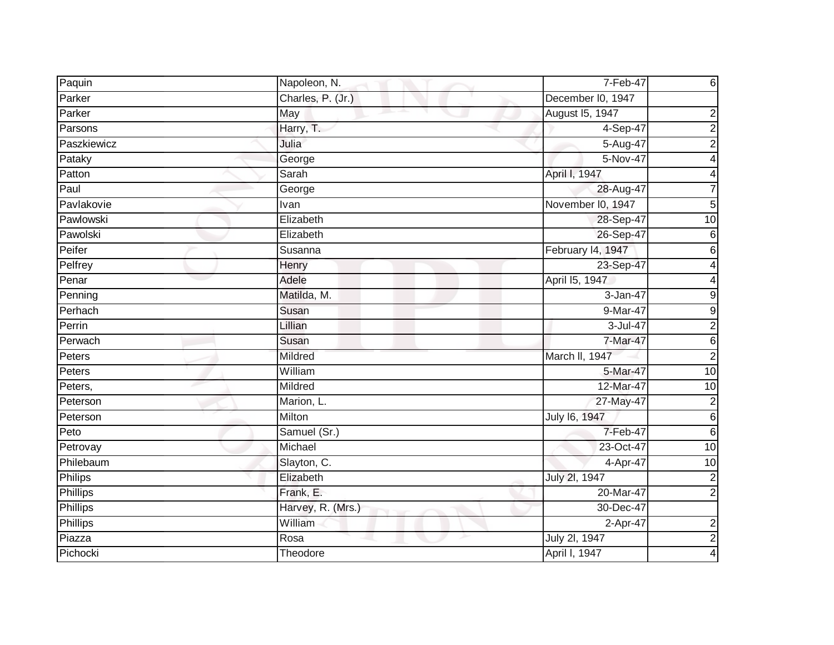| Paquin                      | Napoleon, N.         | 7-Feb-47          | 6                       |
|-----------------------------|----------------------|-------------------|-------------------------|
| Parker                      | Charles, P. (Jr.)    | December I0, 1947 |                         |
| Parker                      | May<br>and the party | August 15, 1947   | 2                       |
| Parsons                     | Harry, T.            | 4-Sep-47          | $\overline{2}$          |
| Paszkiewicz                 | Julia                | 5-Aug-47          | $\overline{2}$          |
| Pataky                      | George               | 5-Nov-47          | 4                       |
| Patton                      | Sarah                | April I, 1947     | $\overline{\mathbf{4}}$ |
| Paul                        | George               | 28-Aug-47         | $\overline{7}$          |
| Pavlakovie                  | Ivan                 | November I0, 1947 | 5                       |
| Pawlowski                   | Elizabeth            | 28-Sep-47         | $\overline{10}$         |
| Pawolski                    | Elizabeth            | 26-Sep-47         | $\,6$                   |
| Peifer                      | Susanna              | February 14, 1947 | 6                       |
| Pelfrey                     | Henry                | 23-Sep-47         | $\overline{4}$          |
| Penar                       | Adele                | April 15, 1947    | 4                       |
| Penning                     | Matilda, M.          | 3-Jan-47          | $\overline{9}$          |
| Perhach                     | Susan                | 9-Mar-47          | $\overline{9}$          |
| Perrin                      | Lillian              | 3-Jul-47          | $\overline{2}$          |
| Perwach                     | Susan                | 7-Mar-47          | 6                       |
| Peters                      | Mildred              | March II, 1947    | $\overline{2}$          |
| Peters                      | William              | 5-Mar-47          | 10                      |
| Peters,                     | Mildred              | 12-Mar-47         | 10                      |
| Peterson                    | Marion, L.           | 27-May-47         | $\overline{2}$          |
| Peterson                    | Milton               | July 16, 1947     | $\overline{6}$          |
| $\overline{\mathsf{P}}$ eto | Samuel (Sr.)         | 7-Feb-47          | $\,6$                   |
| Petrovay                    | Michael              | 23-Oct-47         | 10                      |
| Philebaum                   | Slayton, C.          | 4-Apr-47          | 10                      |
| Philips                     | Elizabeth            | July 2l, 1947     | $\overline{2}$          |
| Phillips                    | Frank, E.            | 20-Mar-47         | $\overline{2}$          |
| Phillips                    | Harvey, R. (Mrs.)    | 30-Dec-47         |                         |
| Phillips                    | William              | 2-Apr-47          | $\overline{\mathbf{c}}$ |
| Piazza                      | Rosa                 | July 2I, 1947     | $\overline{2}$          |
| Pichocki                    | Theodore             | April I, 1947     | 4                       |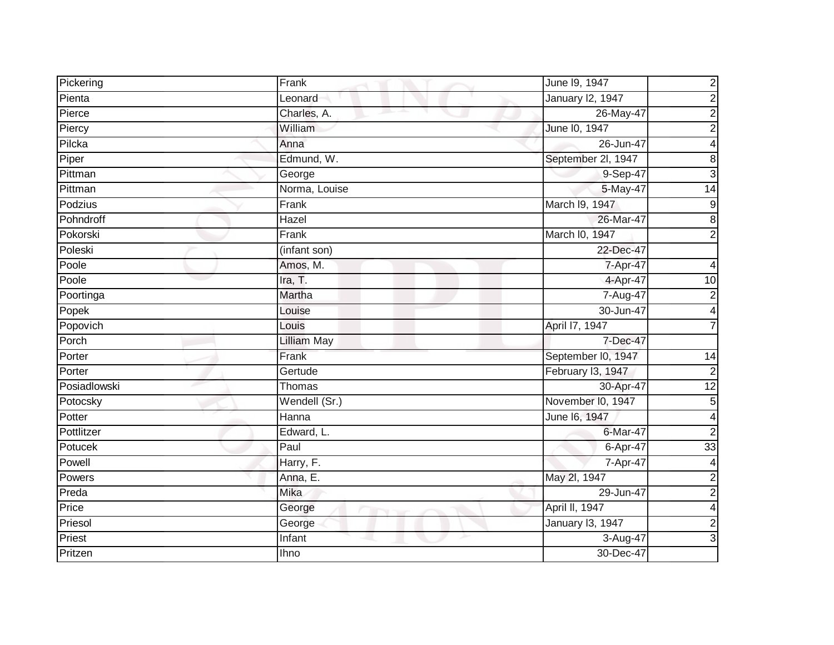| Pickering    | Frank              | $\boldsymbol{2}$<br>June 19, 1947         |
|--------------|--------------------|-------------------------------------------|
| Pienta       | Leonard            | <b>January 12, 1947</b><br>$\overline{c}$ |
| Pierce       | Charles, A.        | 26-May-47<br>$\overline{\mathbf{c}}$      |
| Piercy       | William            | $\overline{c}$<br>June 10, 1947           |
| Pilcka       | Anna               | 26-Jun-47<br>4                            |
| Piper        | Edmund, W.         | September 2l, 1947<br>8                   |
| Pittman      | George             | $\overline{3}$<br>9-Sep-47                |
| Pittman      | Norma, Louise      | 5-May-47<br>$\overline{14}$               |
| Podzius      | Frank              | March I9, 1947<br>$\mathsf 9$             |
| Pohndroff    | Hazel              | 8<br>26-Mar-47                            |
| Pokorski     | Frank              | March I0, 1947<br>$\overline{2}$          |
| Poleski      | (infant son)       | 22-Dec-47                                 |
| Poole        | Amos, M.           | 7-Apr-47<br>4                             |
| Poole        | Ira, T.            | 4-Apr-47<br>10                            |
| Poortinga    | Martha             | 7-Aug-47<br>2                             |
| Popek        | Louise             | 30-Jun-47<br>4                            |
| Popovich     | Louis              | April 17, 1947<br>7                       |
| Porch        | <b>Lilliam May</b> | 7-Dec-47                                  |
| Porter       | Frank              | September I0, 1947<br>14                  |
| Porter       | Gertude            | February I3, 1947<br>$\mathbf 2$          |
| Posiadlowski | Thomas             | 30-Apr-47<br>$\overline{12}$              |
| Potocsky     | Wendell (Sr.)      | November I0, 1947<br>$\mathbf 5$          |
| Potter       | Hanna              | June 16, 1947<br>4                        |
| Pottlitzer   | Edward, L.         | $\overline{2}$<br>6-Mar-47                |
| Potucek      | Paul               | 33<br>6-Apr-47                            |
| Powell       | Harry, F.          | 7-Apr-47<br>4                             |
| Powers       | Anna, E.           | May 2l, 1947<br>$\overline{\mathbf{c}}$   |
| Preda        | Mika               | $\overline{c}$<br>29-Jun-47               |
| Price        | George             | April II, 1947<br>4                       |
| Priesol      | George             | <b>January 13, 1947</b><br>$\overline{2}$ |
| Priest       | Infant             | $\mathbf{3}$<br>3-Aug-47                  |
| Pritzen      | <b>Ihno</b>        | 30-Dec-47                                 |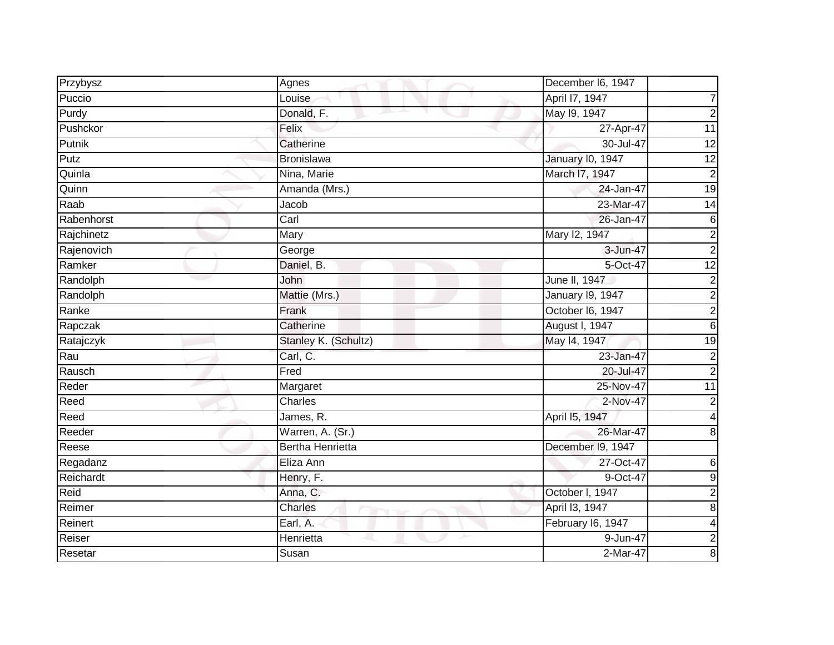| Przybysz   | Agnes                   | December I6, 1947                                  |
|------------|-------------------------|----------------------------------------------------|
| Puccio     | Louise                  | April 17, 1947                                     |
| Purdy      | Donald, F.              | May 19, 1947<br>2                                  |
| Pushckor   | Felix                   | 11<br>27-Apr-47                                    |
| Putnik     | Catherine               | 12<br>30-Jul-47                                    |
| Putz       | Bronislawa              | January I0, 1947<br>12                             |
| Quinla     | Nina, Marie             | March I7, 1947<br>$\overline{2}$                   |
| Quinn      | Amanda (Mrs.)           | 19<br>24-Jan-47                                    |
| Raab       | Jacob                   | 23-Mar-47<br>$\overline{14}$                       |
| Rabenhorst | Carl                    | 26-Jan-47<br>6                                     |
| Rajchinetz | Mary                    | Mary 12, 1947<br>$\overline{\mathbf{c}}$           |
| Rajenovich | George                  | 3-Jun-47<br>$\overline{2}$                         |
| Ramker     | Daniel, B.              | 5-Oct-47<br>$\overline{12}$                        |
| Randolph   | John                    | June II, 1947<br>$\mathbf 2$                       |
| Randolph   | Mattie (Mrs.)           | <b>January 19, 1947</b><br>$\overline{\mathbf{c}}$ |
| Ranke      | Frank                   | $\overline{c}$<br>October I6, 1947                 |
| Rapczak    | Catherine               | <b>August I, 1947</b><br>6                         |
| Ratajczyk  | Stanley K. (Schultz)    | May 14, 1947<br>$\overline{19}$                    |
| Rau        | Carl, C.                | $\mathbf 2$<br>23-Jan-47                           |
| Rausch     | Fred                    | 20-Jul-47<br>$\overline{2}$                        |
| Reder      | Margaret                | 25-Nov-47<br>$\overline{11}$                       |
| Reed       | Charles                 | $\overline{c}$<br>2-Nov-47                         |
| Reed       | James, R.               | April 15, 1947<br>4                                |
| Reeder     | Warren, A. (Sr.)        | 26-Mar-47<br>8                                     |
| Reese      | <b>Bertha Henrietta</b> | December I9, 1947                                  |
| Regadanz   | Eliza Ann               | 27-Oct-47<br>6                                     |
| Reichardt  | Henry, F.               | 9<br>9-Oct-47                                      |
| Reid       | Anna, C.                | $\overline{c}$<br>October I, 1947                  |
| Reimer     | Charles                 | April 13, 1947<br>8                                |
| Reinert    | Earl, A.                | February I6, 1947<br>4                             |
| Reiser     | Henrietta               | $\boldsymbol{2}$<br>9-Jun-47                       |
| Resetar    | Susan                   | 8<br>2-Mar-47                                      |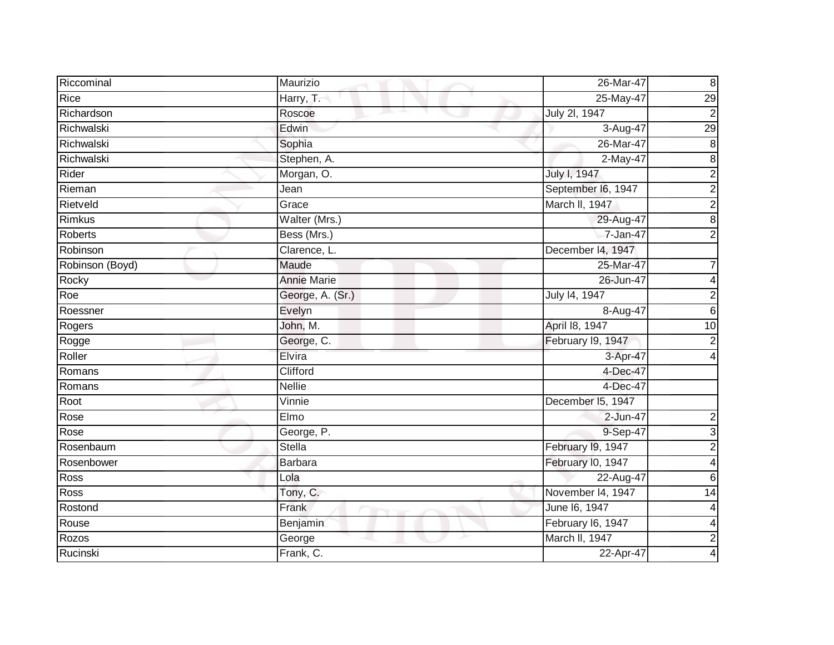| Riccominal      | Maurizio           | 26-Mar-47          | $\bf8$           |
|-----------------|--------------------|--------------------|------------------|
| Rice            | Harry, T.          | 25-May-47          | 29               |
| Richardson      | Roscoe             | July 2l, 1947      | $\overline{2}$   |
| Richwalski      | Edwin              | 3-Aug-47           | 29               |
| Richwalski      | Sophia             | 26-Mar-47          | $\overline{8}$   |
| Richwalski      | Stephen, A.        | 2-May-47           | $\overline{8}$   |
| Rider           | Morgan, O.         | July I, 1947       | $\overline{c}$   |
| Rieman          | Jean               | September I6, 1947 | $\overline{2}$   |
| Rietveld        | Grace              | March II, 1947     | $\overline{2}$   |
| Rimkus          | Walter (Mrs.)      | 29-Aug-47          | $\overline{8}$   |
| Roberts         | Bess (Mrs.)        | 7-Jan-47           | $\overline{2}$   |
| Robinson        | Clarence, L.       | December 14, 1947  |                  |
| Robinson (Boyd) | Maude              | 25-Mar-47          | 7                |
| Rocky           | <b>Annie Marie</b> | 26-Jun-47          | 4                |
| Roe             | George, A. (Sr.)   | July 14, 1947      | $\mathbf 2$      |
| Roessner        | Evelyn             | 8-Aug-47           | $\overline{6}$   |
| Rogers          | John, M.           | April 18, 1947     | 10               |
| Rogge           | George, C.         | February 19, 1947  | $\overline{2}$   |
| Roller          | Elvira             | 3-Apr-47           | 4                |
| Romans          | Clifford           | 4-Dec-47           |                  |
| Romans          | <b>Nellie</b>      | 4-Dec-47           |                  |
| Root            | Vinnie             | December 15, 1947  |                  |
| Rose            | Elmo               | 2-Jun-47           | 2                |
| Rose            | George, P.         | 9-Sep-47           | $\overline{3}$   |
| Rosenbaum       | <b>Stella</b>      | February I9, 1947  | $\overline{2}$   |
| Rosenbower      | <b>Barbara</b>     | February I0, 1947  | 4                |
| <b>Ross</b>     | Lola               | 22-Aug-47          | $\overline{6}$   |
| Ross            | Tony, C.           | November 14, 1947  | 14               |
| Rostond         | Frank              | June 16, 1947      |                  |
| Rouse           | Benjamin           | February I6, 1947  | 4                |
| Rozos           | George             | March II, 1947     | $\boldsymbol{2}$ |
| Rucinski        | Frank, C.          | 22-Apr-47          | 4                |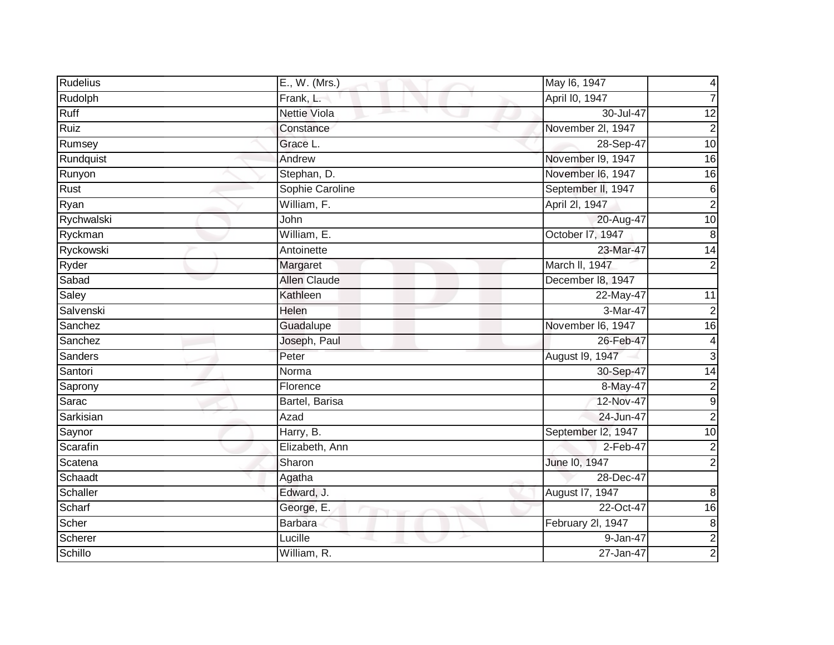| <b>Rudelius</b> | E., W. (Mrs.)       | May 16, 1947       | 4                       |
|-----------------|---------------------|--------------------|-------------------------|
| Rudolph         | Frank, L.           | April I0, 1947     |                         |
| Ruff            | <b>Nettie Viola</b> | 30-Jul-47          | 12                      |
| Ruiz            | Constance           | November 2l, 1947  | $\overline{2}$          |
| Rumsey          | Grace L.            | 28-Sep-47          | $\overline{10}$         |
| Rundquist       | Andrew              | November 19, 1947  | 16                      |
| Runyon          | Stephan, D.         | November I6, 1947  | 16                      |
| Rust            | Sophie Caroline     | September II, 1947 | 6                       |
| Ryan            | William, F.         | April 2l, 1947     | $\overline{c}$          |
| Rychwalski      | John                | 20-Aug-47          | 10                      |
| Ryckman         | William, E.         | October I7, 1947   | $\boldsymbol{8}$        |
| Ryckowski       | Antoinette          | 23-Mar-47          | $\overline{14}$         |
| Ryder           | Margaret            | March II, 1947     | $\overline{2}$          |
| Sabad           | <b>Allen Claude</b> | December 18, 1947  |                         |
| Saley           | Kathleen            | 22-May-47          | 11                      |
| Salvenski       | Helen               | 3-Mar-47           | $\overline{2}$          |
| Sanchez         | Guadalupe           | November I6, 1947  | $\overline{6}$          |
| Sanchez         | Joseph, Paul        | 26-Feb-47          | 4                       |
| Sanders         | Peter               | August I9, 1947    | 3                       |
| Santori         | Norma               | 30-Sep-47          | $\overline{14}$         |
| Saprony         | Florence            | 8-May-47           | $\overline{\mathbf{c}}$ |
| Sarac           | Bartel, Barisa      | 12-Nov-47          | $\overline{9}$          |
| Sarkisian       | Azad                | 24-Jun-47          | $\mathbf 2$             |
| Saynor          | Harry, B.           | September I2, 1947 | 10                      |
| Scarafin        | Elizabeth, Ann      | $2-Feb-47$         | $\overline{2}$          |
| Scatena         | Sharon              | June 10, 1947      | $\overline{2}$          |
| Schaadt         | Agatha              | 28-Dec-47          |                         |
| Schaller        | Edward, J.          | August 17, 1947    | 8                       |
| Scharf          | George, E.          | 22-Oct-47          | $\overline{16}$         |
| Scher           | <b>Barbara</b>      | February 2l, 1947  | $\bf 8$                 |
| Scherer         | Lucille             | 9-Jan-47           | $\overline{2}$          |
| Schillo         | William, R.         | 27-Jan-47          | $\overline{2}$          |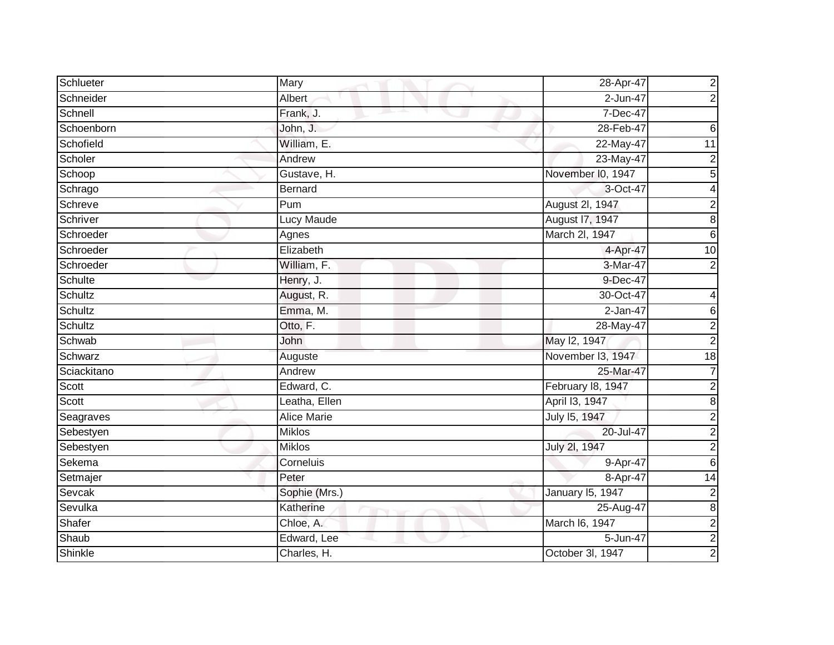| Schlueter      | Mary               | 28-Apr-47         | $\overline{\mathbf{c}}$ |
|----------------|--------------------|-------------------|-------------------------|
| Schneider      | Albert             | $2 - Jun-47$      | $\overline{2}$          |
| Schnell        | Frank, J.          | 7-Dec-47          |                         |
| Schoenborn     | John, J.           | 28-Feb-47         | 6                       |
| Schofield      | William, E.        | 22-May-47         | $\overline{11}$         |
| Scholer        | Andrew             | 23-May-47         | $\boldsymbol{2}$        |
| Schoop         | Gustave, H.        | November I0, 1947 | $\overline{5}$          |
| Schrago        | <b>Bernard</b>     | 3-Oct-47          | 4                       |
| Schreve        | Pum                | August 2I, 1947   | $\overline{c}$          |
| Schriver       | <b>Lucy Maude</b>  | August 17, 1947   | $\overline{8}$          |
| Schroeder      | Agnes              | March 2I, 1947    | $\overline{6}$          |
| Schroeder      | Elizabeth          | 4-Apr-47          | 10                      |
| Schroeder      | William, F.        | 3-Mar-47          | $\overline{2}$          |
| Schulte        | Henry, J.          | 9-Dec-47          |                         |
| Schultz        | August, R.         | 30-Oct-47         |                         |
| Schultz        | Emma, M.           | $2$ -Jan-47       | 6                       |
| Schultz        | Otto, F.           | 28-May-47         | $\overline{2}$          |
| Schwab         | John               | May 12, 1947      | $\overline{2}$          |
| <b>Schwarz</b> | Auguste            | November I3, 1947 | 18                      |
| Sciackitano    | Andrew             | 25-Mar-47         | $\overline{7}$          |
| Scott          | Edward, C.         | February 18, 1947 | $\overline{\mathbf{c}}$ |
| Scott          | Leatha, Ellen      | April 13, 1947    | $\overline{8}$          |
| Seagraves      | <b>Alice Marie</b> | July 15, 1947     | $\overline{2}$          |
| Sebestyen      | Miklos             | 20-Jul-47         | $\overline{2}$          |
| Sebestyen      | <b>Miklos</b>      | July 2l, 1947     | $\overline{2}$          |
| Sekema         | Corneluis          | 9-Apr-47          | $\overline{6}$          |
| Setmajer       | Peter              | 8-Apr-47          | $\overline{14}$         |
| Sevcak         | Sophie (Mrs.)      | January 15, 1947  | $\overline{2}$          |
| Sevulka        | Katherine          | 25-Aug-47         | $\overline{8}$          |
| Shafer         | Chloe, A.          | March I6, 1947    | $\overline{2}$          |
| Shaub          | Edward, Lee        | 5-Jun-47          | $\overline{2}$          |
| Shinkle        | Charles, H.        | October 3I, 1947  | $\overline{2}$          |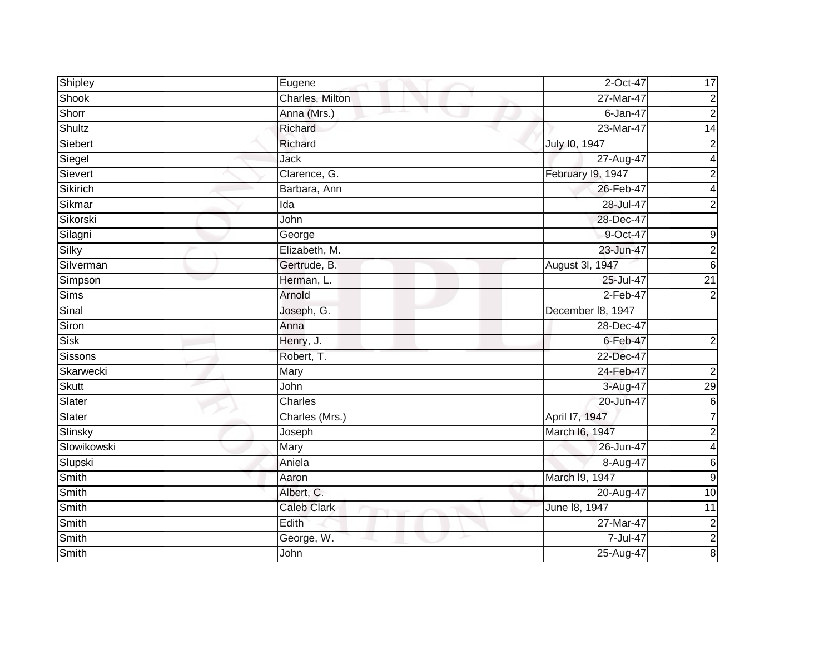| Shipley      | Eugene             | 2-Oct-47          | 17                      |
|--------------|--------------------|-------------------|-------------------------|
| <b>Shook</b> | Charles, Milton    | 27-Mar-47         | $\overline{c}$          |
| Shorr        | Anna (Mrs.)        | 6-Jan-47          | $\overline{2}$          |
| Shultz       | Richard            | 23-Mar-47         | 14                      |
| Siebert      | Richard            | July 10, 1947     | $\overline{2}$          |
| Siegel       | Jack               | 27-Aug-47         | 4                       |
| Sievert      | Clarence, G.       | February I9, 1947 | $\boldsymbol{2}$        |
| Sikirich     | Barbara, Ann       | 26-Feb-47         | 4                       |
| Sikmar       | Ida                | 28-Jul-47         | $\overline{2}$          |
| Sikorski     | John               | 28-Dec-47         |                         |
| Silagni      | George             | 9-Oct-47          | $\mathsf 9$             |
| Silky        | Elizabeth, M.      | 23-Jun-47         | $\overline{2}$          |
| Silverman    | Gertrude, B.       | August 3I, 1947   | $\overline{6}$          |
| Simpson      | Herman, L.         | 25-Jul-47         | $\overline{21}$         |
| <b>Sims</b>  | Arnold             | $2-Feb-47$        | $\overline{c}$          |
| Sinal        | Joseph, G.         | December 18, 1947 |                         |
| Siron        | Anna               | $28$ -Dec-47      |                         |
| Sisk         | Henry, J.          | $6 - Feb - 47$    | $\mathbf 2$             |
| Sissons      | Robert, T.         | 22-Dec-47         |                         |
| Skarwecki    | Mary               | 24-Feb-47         | $\overline{c}$          |
| <b>Skutt</b> | John               | 3-Aug-47          | 29                      |
| Slater       | Charles            | 20-Jun-47         | $\overline{6}$          |
| Slater       | Charles (Mrs.)     | April 17, 1947    | $\overline{7}$          |
| Slinsky      | Joseph             | March I6, 1947    | $\overline{c}$          |
| Slowikowski  | Mary               | 26-Jun-47         | $\overline{\mathbf{4}}$ |
| Slupski      | Aniela             | 8-Aug-47          | 6                       |
| Smith        | Aaron              | March 19, 1947    | $\overline{9}$          |
| <b>Smith</b> | Albert, C.         | 20-Aug-47         | 10                      |
| Smith        | <b>Caleb Clark</b> | June 18, 1947     | $\overline{11}$         |
| Smith        | Edith              | 27-Mar-47         |                         |
| Smith        | George, W.         | 7-Jul-47          | $\frac{2}{8}$           |
| Smith        | John               | 25-Aug-47         |                         |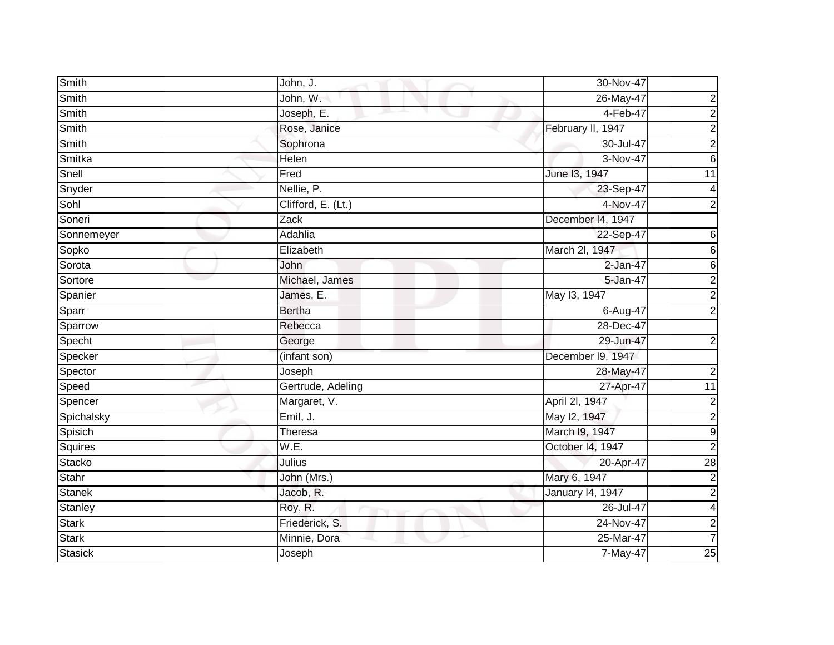| Smith          | John, J.           | 30-Nov-47         |                  |
|----------------|--------------------|-------------------|------------------|
| Smith          | John, W.           | 26-May-47         | 2                |
| Smith          | Joseph, E.         | 4-Feb-47          | $\overline{2}$   |
| Smith          | Rose, Janice       | February II, 1947 | $\overline{2}$   |
| Smith          | Sophrona           | 30-Jul-47         | $\overline{2}$   |
| Smitka         | Helen              | 3-Nov-47          | $6\phantom{1}$   |
| Snell          | Fred               | June 13, 1947     | $\overline{11}$  |
| Snyder         | Nellie, P.         | 23-Sep-47         | 4                |
| Sohl           | Clifford, E. (Lt.) | 4-Nov-47          | $\mathbf 2$      |
| Soneri         | Zack               | December 14, 1947 |                  |
| Sonnemeyer     | Adahlia            | 22-Sep-47         | 6                |
| Sopko          | Elizabeth          | March 2I, 1947    | 6                |
| Sorota         | John               | $2$ -Jan-47       | $\overline{6}$   |
| Sortore        | Michael, James     | 5-Jan-47          | $\overline{2}$   |
| Spanier        | James, E.          | May 13, 1947      | $\overline{2}$   |
| Sparr          | <b>Bertha</b>      | 6-Aug-47          | $\overline{2}$   |
| Sparrow        | Rebecca            | 28-Dec-47         |                  |
| Specht         | George             | 29-Jun-47         | $\overline{2}$   |
| Specker        | (infant son)       | December I9, 1947 |                  |
| Spector        | Joseph             | 28-May-47         | $\overline{c}$   |
| Speed          | Gertrude, Adeling  | 27-Apr-47         | 11               |
| Spencer        | Margaret, V.       | April 2I, 1947    | $\overline{2}$   |
| Spichalsky     | Emil, J.           | May 12, 1947      | $\overline{2}$   |
| Spisich        | Theresa            | March 19, 1947    | $\overline{9}$   |
| Squires        | W.E.               | October I4, 1947  | $\overline{2}$   |
| Stacko         | Julius             | 20-Apr-47         | $\overline{28}$  |
| Stahr          | John (Mrs.)        | Mary 6, 1947      | $\overline{2}$   |
| <b>Stanek</b>  | Jacob, R.          | January 14, 1947  | $\overline{2}$   |
| Stanley        | Roy, R.            | 26-Jul-47         | $\overline{4}$   |
| <b>Stark</b>   | Friederick, S.     | 24-Nov-47         | $\boldsymbol{2}$ |
| <b>Stark</b>   | Minnie, Dora       | 25-Mar-47         | $\overline{7}$   |
| <b>Stasick</b> | Joseph             | 7-May-47          | 25               |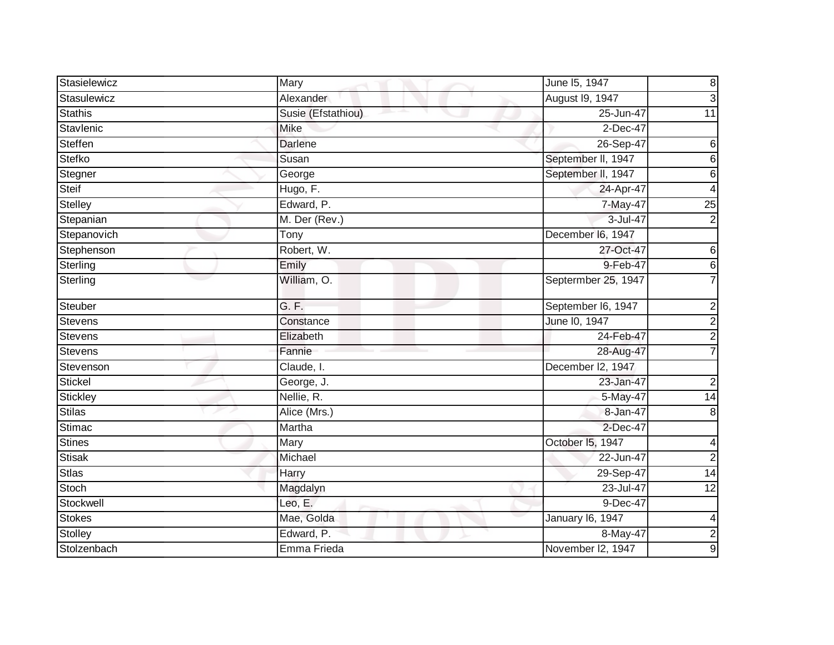| Stasielewicz   | Mary               | June 15, 1947       | $\bf 8$                 |
|----------------|--------------------|---------------------|-------------------------|
| Stasulewicz    | Alexander          | August 19, 1947     | 3                       |
| <b>Stathis</b> | Susie (Efstathiou) | 25-Jun-47           | 11                      |
| Stavlenic      | Mike               | 2-Dec-47            |                         |
| Steffen        | <b>Darlene</b>     | 26-Sep-47           | 6                       |
| Stefko         | Susan              | September II, 1947  | 6                       |
| Stegner        | George             | September II, 1947  | 6                       |
| Steif          | Hugo, F.           | 24-Apr-47           | 4                       |
| Stelley        | Edward, P.         | 7-May-47            | $\overline{25}$         |
| Stepanian      | M. Der (Rev.)      | 3-Jul-47            | $\overline{2}$          |
| Stepanovich    | Tony               | December I6, 1947   |                         |
| Stephenson     | Robert, W.         | 27-Oct-47           | 6                       |
| Sterling       | Emily              | 9-Feb-47            | $\,6$                   |
| Sterling       | William, O.        | Septermber 25, 1947 |                         |
| Steuber        | G. F.              | September I6, 1947  | $\overline{c}$          |
| Stevens        | Constance          | June I0, 1947       | $\overline{2}$          |
| <b>Stevens</b> | Elizabeth          | 24-Feb-47           | $\overline{2}$          |
| <b>Stevens</b> | Fannie             | 28-Aug-47           | 7                       |
| Stevenson      | Claude, I.         | December I2, 1947   |                         |
| Stickel        | George, J.         | 23-Jan-47           | $\overline{\mathbf{c}}$ |
| Stickley       | Nellie, R.         | 5-May-47            | $\overline{14}$         |
| <b>Stilas</b>  | Alice (Mrs.)       | 8-Jan-47            | 8                       |
| Stimac         | Martha             | 2-Dec-47            |                         |
| Stines         | Mary               | October I5, 1947    | 4                       |
| <b>Stisak</b>  | Michael            | 22-Jun-47           | $\overline{2}$          |
| <b>Stlas</b>   | Harry              | 29-Sep-47           | 14                      |
| Stoch          | Magdalyn           | 23-Jul-47           | 12                      |
| Stockwell      | Leo, E.            | 9-Dec-47            |                         |
| <b>Stokes</b>  | Mae, Golda         | January 16, 1947    | 4                       |
| Stolley        | Edward, P.         | 8-May-47            | $\overline{2}$          |
| Stolzenbach    | Emma Frieda        | November I2, 1947   | $\overline{9}$          |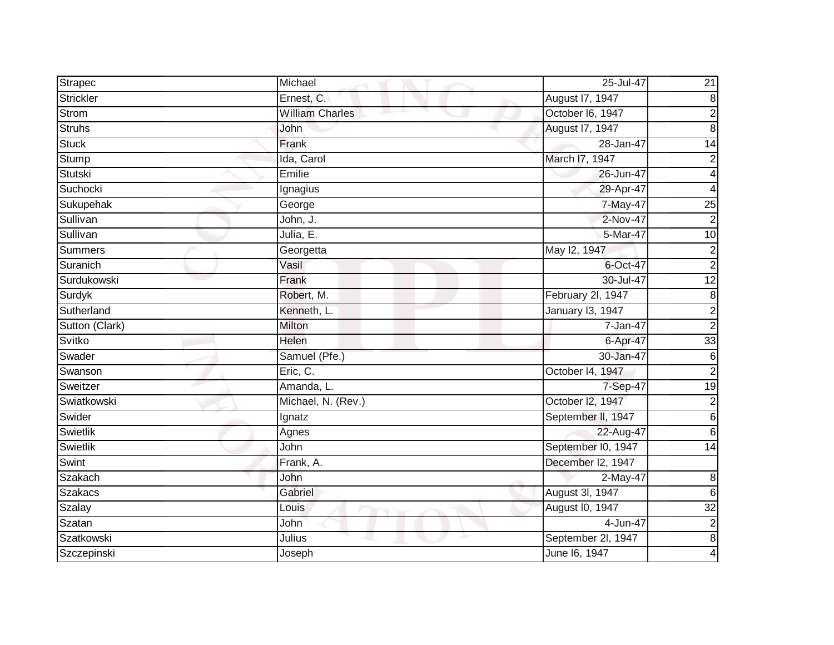| Strapec        | Michael                | 25-Jul-47          | $\overline{21}$         |
|----------------|------------------------|--------------------|-------------------------|
| Strickler      | Ernest, C.             | August 17, 1947    | $\infty$                |
| Strom          | <b>William Charles</b> | October I6, 1947   | $\overline{2}$          |
| <b>Struhs</b>  | John                   | August 17, 1947    | $\overline{8}$          |
| <b>Stuck</b>   | Frank                  | 28-Jan-47          | $\overline{14}$         |
| Stump          | Ida, Carol             | March I7, 1947     | $\boldsymbol{2}$        |
| Stutski        | Emilie                 | 26-Jun-47          | $\overline{4}$          |
| Suchocki       | Ignagius               | 29-Apr-47          | 4                       |
| Sukupehak      | George                 | 7-May-47           | $\overline{25}$         |
| Sullivan       | John, J.               | 2-Nov-47           | $\overline{2}$          |
| Sullivan       | Julia, E.              | 5-Mar-47           | 10                      |
| <b>Summers</b> | Georgetta              | May 12, 1947       | $\overline{\mathbf{c}}$ |
| Suranich       | Vasil                  | 6-Oct-47           | $\overline{2}$          |
| Surdukowski    | Frank                  | 30-Jul-47          | 12                      |
| Surdyk         | Robert, M.             | February 2l, 1947  | 8                       |
| Sutherland     | Kenneth, L.            | January 13, 1947   | $\overline{2}$          |
| Sutton (Clark) | Milton                 | 7-Jan-47           | $\overline{2}$          |
| Svitko         | Helen                  | 6-Apr-47           | 33                      |
| Swader         | Samuel (Pfe.)          | 30-Jan-47          | $\overline{6}$          |
| Swanson        | Eric, C.               | October 14, 1947   | $\overline{2}$          |
| Sweitzer       | Amanda, L.             | 7-Sep-47           | 19                      |
| Swiatkowski    | Michael, N. (Rev.)     | October I2, 1947   | $\overline{2}$          |
| Swider         | Ignatz                 | September II, 1947 | $\overline{6}$          |
| Swietlik       | Agnes                  | 22-Aug-47          | $6\phantom{1}$          |
| Swietlik       | John                   | September I0, 1947 | $\overline{14}$         |
| Swint          | Frank, A.              | December I2, 1947  |                         |
| Szakach        | John                   | 2-May-47           | $\overline{8}$          |
| <b>Szakacs</b> | Gabriel                | August 3I, 1947    | $\overline{6}$          |
| Szalay         | Louis                  | August I0, 1947    | $\overline{32}$         |
| <b>Szatan</b>  | John                   | 4-Jun-47           | $\boldsymbol{2}$        |
| Szatkowski     | Julius                 | September 2l, 1947 | $\overline{8}$          |
| Szczepinski    | Joseph                 | June 16, 1947      | 4                       |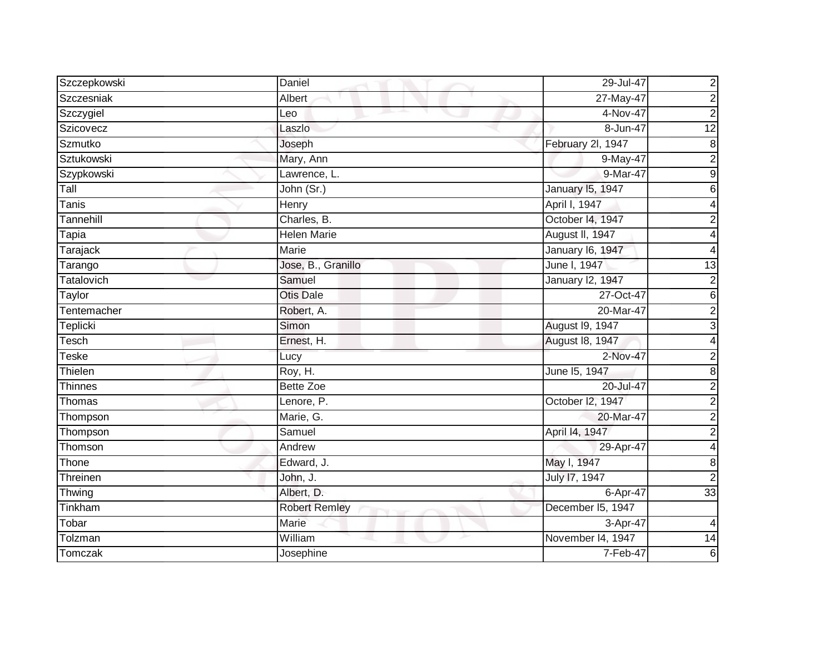| Szczepkowski   | Daniel               | 29-Jul-47         | $\overline{\mathbf{c}}$ |
|----------------|----------------------|-------------------|-------------------------|
| Szczesniak     | Albert               | 27-May-47         | $\overline{2}$          |
| Szczygiel      | Leo                  | 4-Nov-47          | $\overline{2}$          |
| Szicovecz      | Laszlo               | $8 - Jun-47$      | 12                      |
| Szmutko        | Joseph               | February 2l, 1947 | $\overline{8}$          |
| Sztukowski     | Mary, Ann            | 9-May-47          | $\overline{c}$          |
| Szypkowski     | Lawrence, L.         | 9-Mar-47          | $\overline{9}$          |
| Tall           | John (Sr.)           | January 15, 1947  | 6                       |
| Tanis          | Henry                | April I, 1947     | 4                       |
| Tannehill      | Charles, B.          | October 14, 1947  | $\mathbf 2$             |
| Tapia          | <b>Helen Marie</b>   | August II, 1947   | 4                       |
| Tarajack       | Marie                | January 16, 1947  | 4                       |
| Tarango        | Jose, B., Granillo   | June I, 1947      | $\overline{13}$         |
| Tatalovich     | Samuel               | January 12, 1947  | $\overline{c}$          |
| Taylor         | <b>Otis Dale</b>     | 27-Oct-47         | $\overline{6}$          |
| Tentemacher    | Robert, A.           | 20-Mar-47         | $\overline{2}$          |
| Teplicki       | Simon                | August 19, 1947   | $\overline{3}$          |
| Tesch          | Ernest, H.           | August 18, 1947   | 4                       |
| Teske          | Lucy                 | 2-Nov-47          | $\overline{2}$          |
| Thielen        | Roy, H.              | June 15, 1947     | $\overline{8}$          |
| <b>Thinnes</b> | <b>Bette Zoe</b>     | 20-Jul-47         | $\overline{2}$          |
| Thomas         | Lenore, P.           | October I2, 1947  | $\overline{2}$          |
| Thompson       | Marie, G.            | 20-Mar-47         | $\overline{2}$          |
| Thompson       | Samuel               | April 14, 1947    | $\overline{2}$          |
| Thomson        | Andrew               | 29-Apr-47         | 4                       |
| Thone          | Edward, J.           | May I, 1947       | 8                       |
| Threinen       | John, J.             | July 17, 1947     | $\overline{2}$          |
| Thwing         | Albert, D.           | 6-Apr-47          | 33                      |
| Tinkham        | <b>Robert Remley</b> | December I5, 1947 |                         |
| Tobar          | Marie                | 3-Apr-47          | 4                       |
| Tolzman        | William              | November 14, 1947 | 14                      |
| Tomczak        | Josephine            | $7-Feb-47$        | $\overline{6}$          |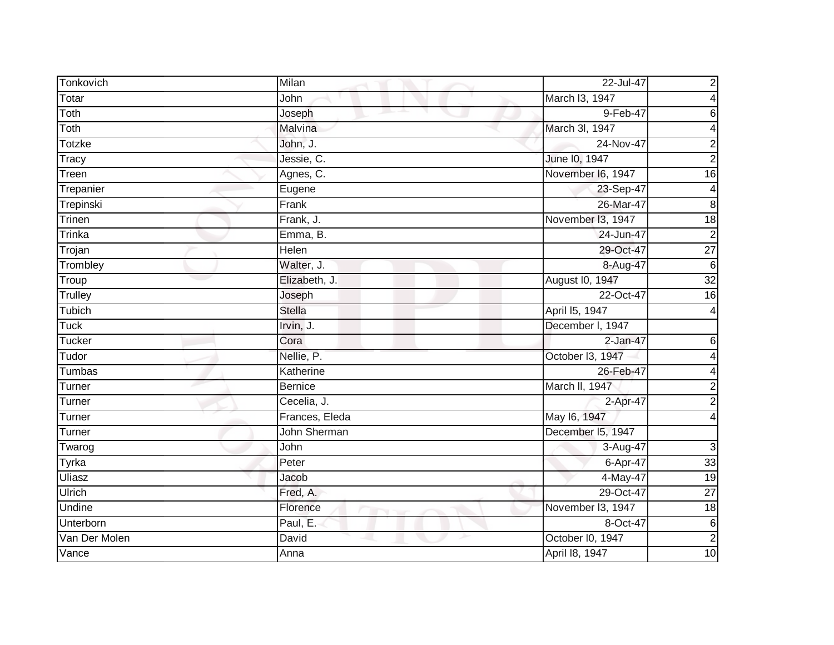| Tonkovich     | Milan                    | 22-Jul-47         | $\mathbf 2$             |
|---------------|--------------------------|-------------------|-------------------------|
| Totar         | John                     | March I3, 1947    | 4                       |
| Toth          | Joseph                   | $9-Feb-47$        | 6                       |
| Toth          | Malvina                  | March 3I, 1947    | 4                       |
| <b>Totzke</b> | John, J.                 | 24-Nov-47         | $\overline{\mathbf{c}}$ |
| <b>Tracy</b>  | Jessie, $\overline{C}$ . | June 10, 1947     | $\overline{c}$          |
| Treen         | Agnes, C.                | November I6, 1947 | $\overline{16}$         |
| Trepanier     | Eugene                   | 23-Sep-47         | 4                       |
| Trepinski     | Frank                    | 26-Mar-47         | $\bf 8$                 |
| Trinen        | Frank, J.                | November I3, 1947 | 18                      |
| Trinka        | Emma, B.                 | 24-Jun-47         | $\overline{2}$          |
| Trojan        | Helen                    | 29-Oct-47         | $\overline{27}$         |
| Trombley      | Walter, J.               | 8-Aug-47          | $\overline{6}$          |
| Troup         | Elizabeth, J.            | August I0, 1947   | $\overline{32}$         |
| Trulley       | Joseph                   | 22-Oct-47         | 16                      |
| Tubich        | <b>Stella</b>            | April 15, 1947    | 4                       |
| <b>Tuck</b>   | Irvin, J.                | December I, 1947  |                         |
| <b>Tucker</b> | Cora                     | $2$ -Jan-47       | 6                       |
| Tudor         | Nellie, P.               | October I3, 1947  | 4                       |
| Tumbas        | Katherine                | 26-Feb-47         | 4                       |
| Turner        | <b>Bernice</b>           | March II, 1947    | 2                       |
| Turner        | Cecelia, J.              | 2-Apr-47          | $\overline{2}$          |
| Turner        | Frances, Eleda           | May 16, 1947      | 4                       |
| Turner        | John Sherman             | December I5, 1947 |                         |
| Twarog        | John                     | 3-Aug-47          | $\mathbf{3}$            |
| Tyrka         | Peter                    | 6-Apr-47          | 33                      |
| <b>Uliasz</b> | Jacob                    | $4$ -May-47       | 19                      |
| <b>Ulrich</b> | Fred, A.                 | 29-Oct-47         | $\overline{27}$         |
| Undine        | Florence                 | November I3, 1947 | $\frac{1}{8}$           |
| Unterborn     | Paul, E.                 | 8-Oct-47          | $\,6$                   |
| Van Der Molen | David                    | October I0, 1947  | $\overline{2}$          |
| Vance         | Anna                     | April 18, 1947    | 10                      |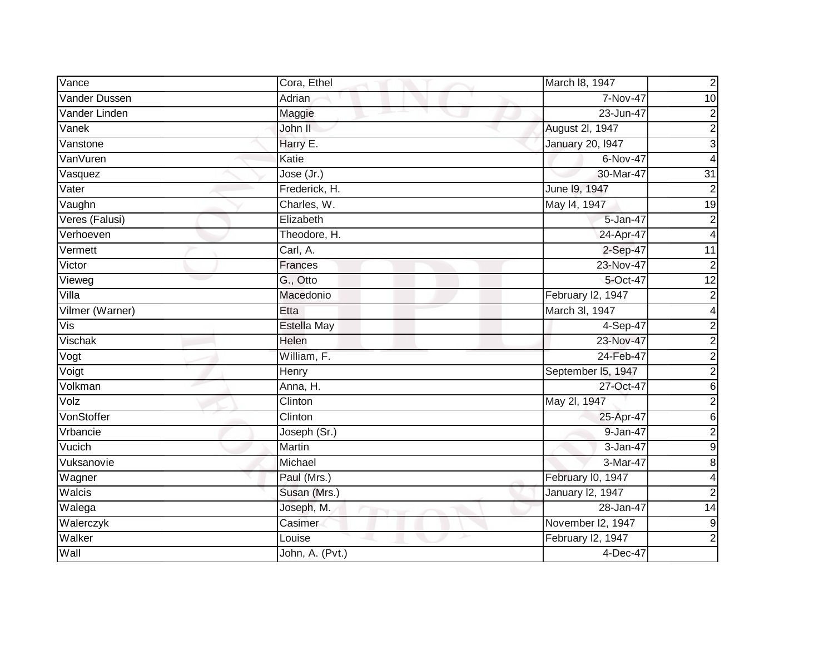| Vance           | Cora, Ethel        | March 18, 1947          | $\overline{c}$   |
|-----------------|--------------------|-------------------------|------------------|
| Vander Dussen   | <b>Adrian</b>      | 7-Nov-47                | 10               |
| Vander Linden   | Maggie             | 23-Jun-47               | $\boldsymbol{2}$ |
| Vanek           | John II            | August 2I, 1947         | $\overline{2}$   |
| Vanstone        | Harry E.           | <b>January 20, 1947</b> | $\overline{3}$   |
| VanVuren        | Katie              | 6-Nov-47                | 4                |
| Vasquez         | Jose (Jr.)         | 30-Mar-47               | $\overline{31}$  |
| Vater           | Frederick, H.      | June 19, 1947           | $\boldsymbol{2}$ |
| Vaughn          | Charles, W.        | May 14, 1947            | 19               |
| Veres (Falusi)  | Elizabeth          | 5-Jan-47                | $\overline{2}$   |
| Verhoeven       | Theodore, H.       | 24-Apr-47               | 4                |
| Vermett         | Carl, A.           | 2-Sep-47                | $\overline{11}$  |
| Victor          | Frances            | 23-Nov-47               | $\overline{2}$   |
| Vieweg          | G., Otto           | 5-Oct-47                | 12               |
| Villa           | Macedonio          | February I2, 1947       | $\overline{c}$   |
| Vilmer (Warner) | Etta               | March 3I, 1947          | 4                |
| Vis             | <b>Estella May</b> | 4-Sep-47                | $\overline{c}$   |
| Vischak         | Helen              | 23-Nov-47               | $\mathbf 2$      |
| Vogt            | William, F.        | 24-Feb-47               | $\overline{2}$   |
| Voigt           | Henry              | September I5, 1947      | $\overline{2}$   |
| Volkman         | Anna, H.           | 27-Oct-47               | 6                |
| Volz            | Clinton            | May 2l, 1947            | $\overline{2}$   |
| VonStoffer      | Clinton            | 25-Apr-47               | $\overline{6}$   |
| Vrbancie        | Joseph (Sr.)       | 9-Jan-47                | $\overline{2}$   |
| Vucich          | Martin             | 3-Jan-47                | $\overline{9}$   |
| Vuksanovie      | Michael            | 3-Mar-47                | $\overline{8}$   |
| Wagner          | Paul (Mrs.)        | February I0, 1947       | 4                |
| Walcis          | Susan (Mrs.)       | January 12, 1947        | $\overline{2}$   |
| Walega          | Joseph, M.         | 28-Jan-47               | $\overline{14}$  |
| Walerczyk       | Casimer            | November I2, 1947       | $\boldsymbol{9}$ |
| Walker          | Louise             | February I2, 1947       | $\overline{2}$   |
| Wall            | John, A. (Pvt.)    | 4-Dec-47                |                  |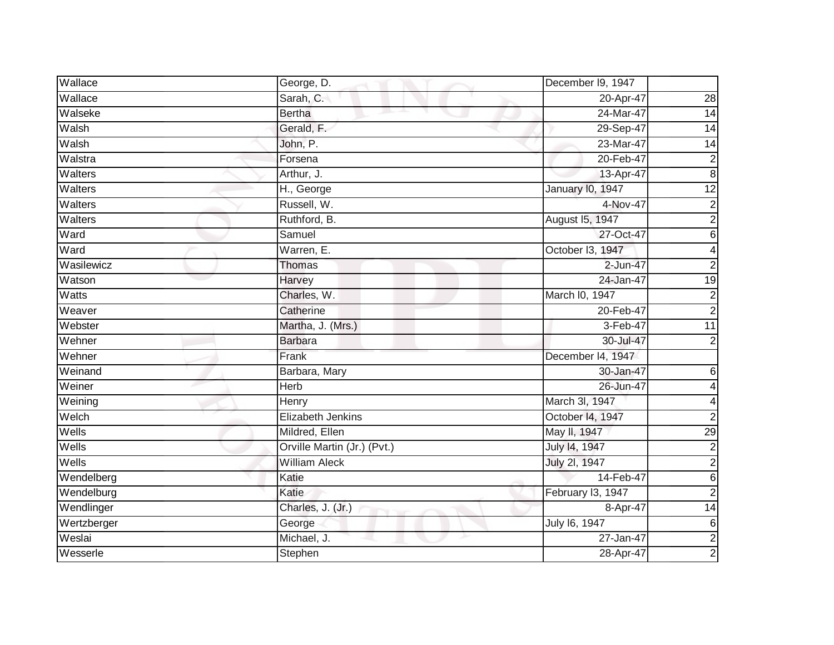| Wallace                      | George, D.                       | December I9, 1947       |                         |
|------------------------------|----------------------------------|-------------------------|-------------------------|
| Wallace                      | Sarah, C.                        | 20-Apr-47               | 28                      |
| Walseke                      | <b>Bertha</b><br>and the parties | 24-Mar-47               | 14                      |
| Walsh                        | Gerald, F.                       | 29-Sep-47               | 14                      |
| Walsh                        | John, P.                         | 23-Mar-47               | $\overline{14}$         |
| Walstra                      | Forsena                          | 20-Feb-47               | $\overline{\mathbf{c}}$ |
| $\overline{\text{W}}$ alters | Arthur, J.                       | 13-Apr-47               | $\overline{8}$          |
| Walters                      | H., George                       | <b>January 10, 1947</b> | $\overline{12}$         |
| Walters                      | Russell, W.                      | 4-Nov-47                | $\overline{c}$          |
| Walters                      | Ruthford, B.                     | August 15, 1947         | $\overline{2}$          |
| Ward                         | Samuel                           | 27-Oct-47               | 6                       |
| Ward                         | Warren, E.                       | October I3, 1947        | 4                       |
| Wasilewicz                   | <b>Thomas</b>                    | 2-Jun-47                | $\overline{2}$          |
| Watson                       | Harvey                           | 24-Jan-47               | $\overline{19}$         |
| Watts                        | Charles, W.                      | March I0, 1947          | 2                       |
| Weaver                       | Catherine                        | 20-Feb-47               | $\overline{2}$          |
| Webster                      | Martha, J. (Mrs.)                | 3-Feb-47                | $\overline{11}$         |
| Wehner                       | <b>Barbara</b>                   | 30-Jul-47               | 2                       |
| Wehner                       | Frank                            | December I4, 1947       |                         |
| Weinand                      | Barbara, Mary                    | 30-Jan-47               | 6                       |
| Weiner                       | Herb                             | 26-Jun-47               |                         |
| Weining                      | Henry                            | March 3I, 1947          | 4                       |
| Welch                        | Elizabeth Jenkins                | October 14, 1947        | 2                       |
| Wells                        | Mildred, Ellen                   | May II, 1947            | $\overline{29}$         |
| Wells                        | Orville Martin (Jr.) (Pvt.)      | July 14, 1947           | $\overline{c}$          |
| Wells                        | <b>William Aleck</b>             | July 2l, 1947           | $\overline{2}$          |
| Wendelberg                   | Katie                            | 14-Feb-47               | $\,6$                   |
| Wendelburg                   | Katie                            | February I3, 1947       | $\overline{2}$          |
| Wendlinger                   | Charles, J. (Jr.)                | 8-Apr-47                | $\overline{14}$         |
| Wertzberger                  | George                           | July 16, 1947           | 6                       |
| Weslai                       | Michael, J.                      | 27-Jan-47               | $\overline{2}$          |
| Wesserle                     | Stephen                          | 28-Apr-47               | $\overline{c}$          |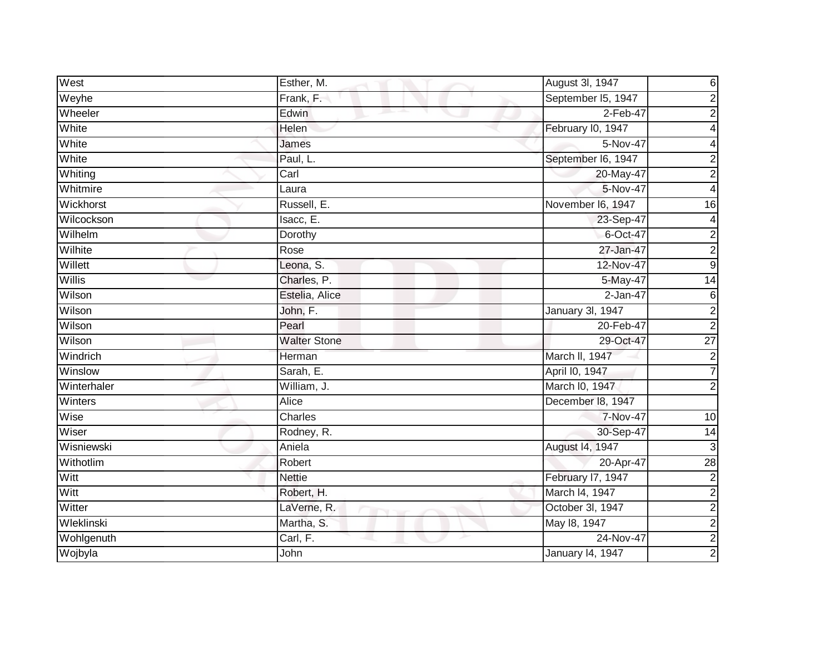| West          | Esther, M.          | August 3I, 1947    | 6               |
|---------------|---------------------|--------------------|-----------------|
| Weyhe         | Frank, F.           | September I5, 1947 | $\overline{2}$  |
| Wheeler       | Edwin<br>m.         | $2-Feb-47$         | $\overline{c}$  |
| White         | Helen               | February I0, 1947  | 4               |
| White         | James               | 5-Nov-47           | 4               |
| White         | Paul, L.            | September I6, 1947 | 2               |
| Whiting       | Carl                | 20-May-47          | $\overline{c}$  |
| Whitmire      | Laura               | 5-Nov-47           | 4               |
| Wickhorst     | Russell, E.         | November I6, 1947  | 16              |
| Wilcockson    | Isacc, E.           | 23-Sep-47          | $\overline{4}$  |
| Wilhelm       | Dorothy             | 6-Oct-47           | $\overline{c}$  |
| Wilhite       | Rose                | 27-Jan-47          | $\overline{a}$  |
| Willett       | Leona, S.           | 12-Nov-47          | Θ               |
| <b>Willis</b> | Charles, P.         | 5-May-47           | $\overline{14}$ |
| Wilson        | Estelia, Alice      | $2-Jan-47$         | 6               |
| Wilson        | John, F.            | January 3I, 1947   | $\overline{2}$  |
| Wilson        | Pearl               | 20-Feb-47          | $\overline{2}$  |
| Wilson        | <b>Walter Stone</b> | 29-Oct-47          | $\overline{27}$ |
| Windrich      | Herman              | March II, 1947     | $\overline{c}$  |
| Winslow       | Sarah, E.           | April I0, 1947     | 7               |
| Winterhaler   | William, J.         | March I0, 1947     | $\overline{2}$  |
| Winters       | Alice               | December 18, 1947  |                 |
| Wise          | Charles             | 7-Nov-47           | 10              |
| Wiser         | Rodney, R.          | 30-Sep-47          | 14              |
| Wisniewski    | Aniela              | August 14, 1947    | 3               |
| Withotlim     | Robert              | 20-Apr-47          | 28              |
| Witt          | <b>Nettie</b>       | February I7, 1947  | $\overline{c}$  |
| Witt          | Robert, H.          | March I4, 1947     | $\overline{2}$  |
| Witter        | LaVerne, R.         | October 3l, 1947   | $\overline{a}$  |
| Wleklinski    | Martha, S.          | May 18, 1947       | $\overline{c}$  |
| Wohlgenuth    | Carl, F.            | 24-Nov-47          | $\overline{2}$  |
| Wojbyla       | John                | January 14, 1947   | $\overline{c}$  |